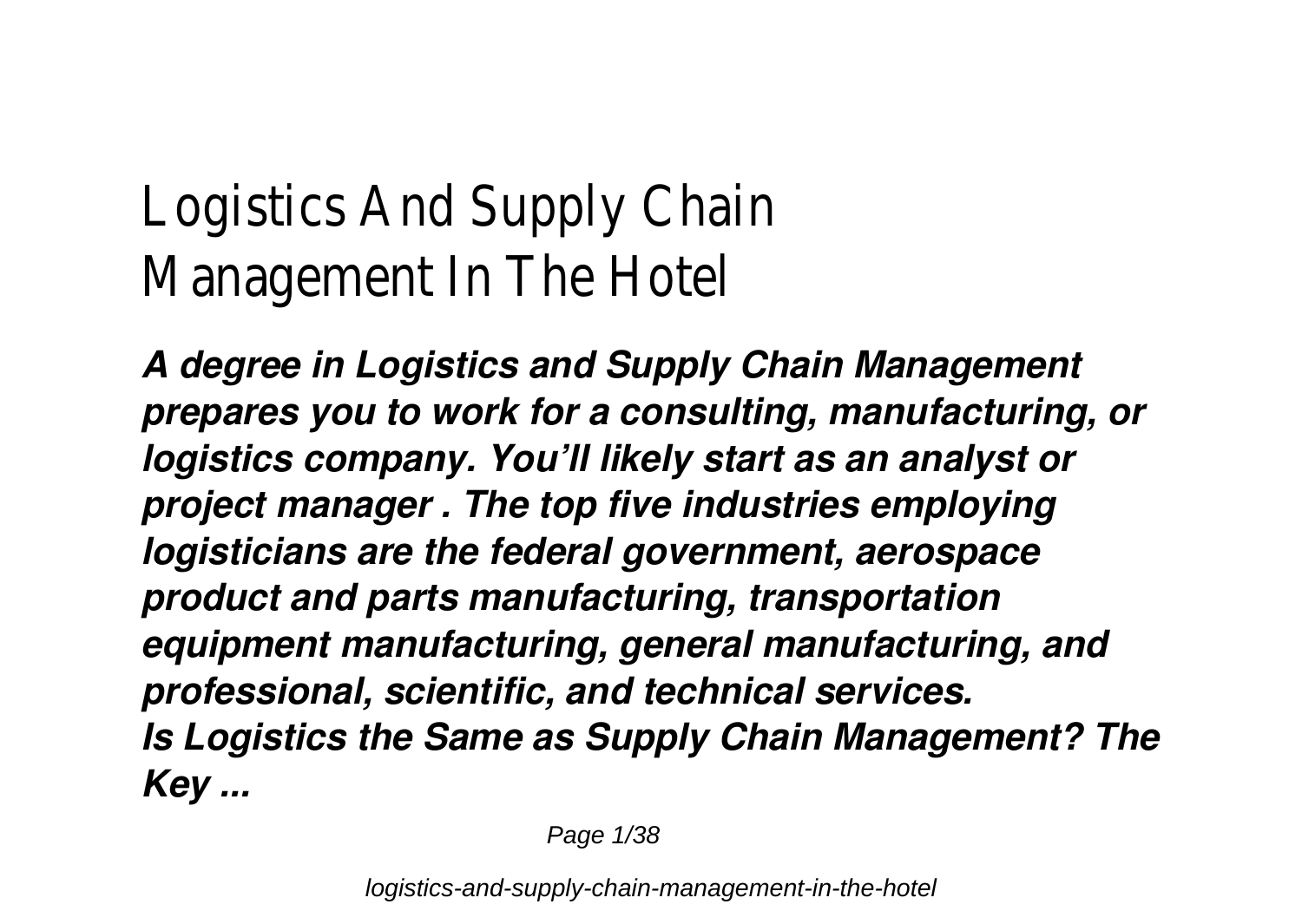## Logistics And Supply Chain Management In The Hotel

*A degree in Logistics and Supply Chain Management prepares you to work for a consulting, manufacturing, or logistics company. You'll likely start as an analyst or project manager . The top five industries employing logisticians are the federal government, aerospace product and parts manufacturing, transportation equipment manufacturing, general manufacturing, and professional, scientific, and technical services. Is Logistics the Same as Supply Chain Management? The Key ...*

Page 1/38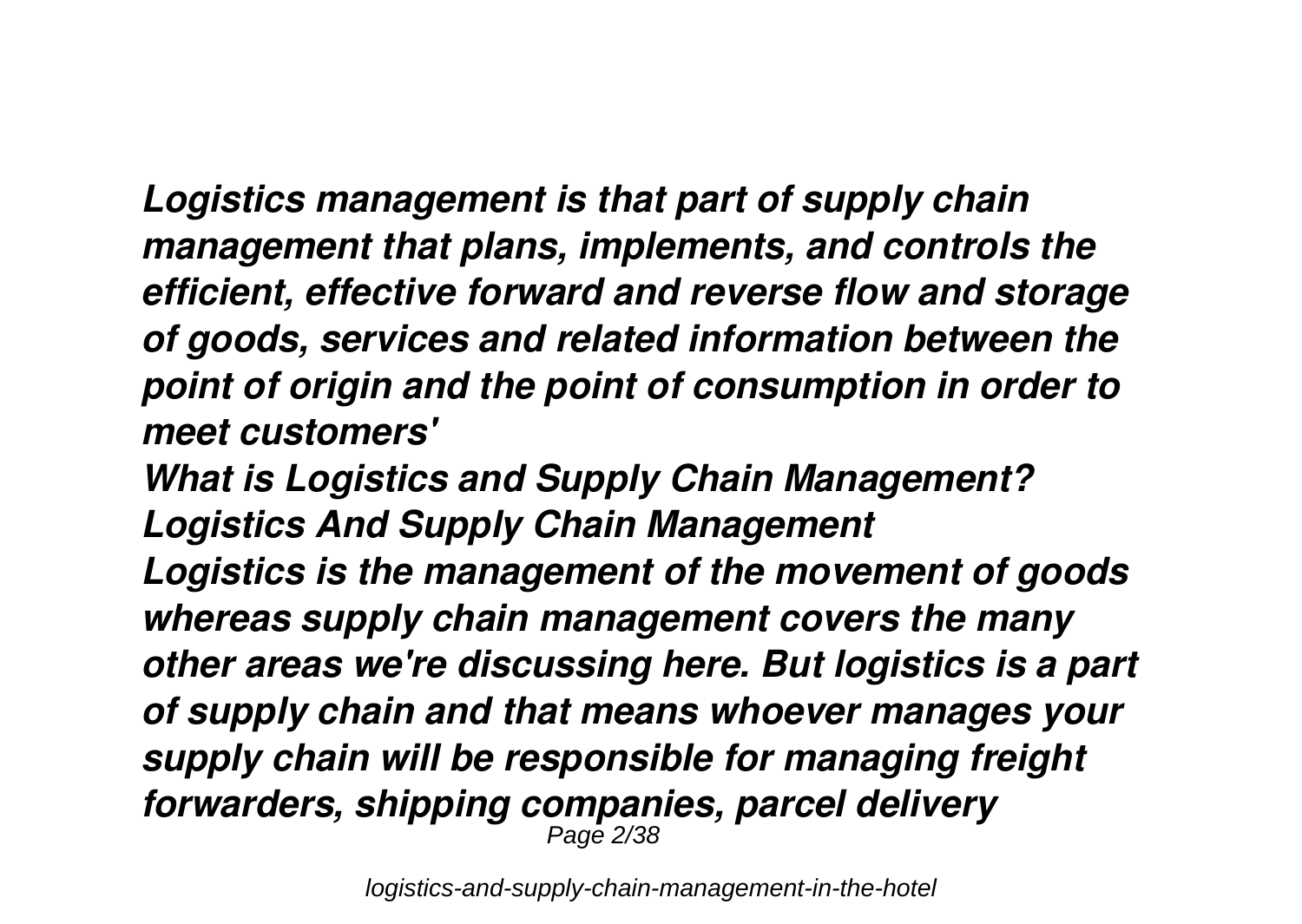*Logistics management is that part of supply chain management that plans, implements, and controls the efficient, effective forward and reverse flow and storage of goods, services and related information between the point of origin and the point of consumption in order to meet customers'*

*What is Logistics and Supply Chain Management? Logistics And Supply Chain Management Logistics is the management of the movement of goods whereas supply chain management covers the many other areas we're discussing here. But logistics is a part of supply chain and that means whoever manages your supply chain will be responsible for managing freight forwarders, shipping companies, parcel delivery* Page 2/38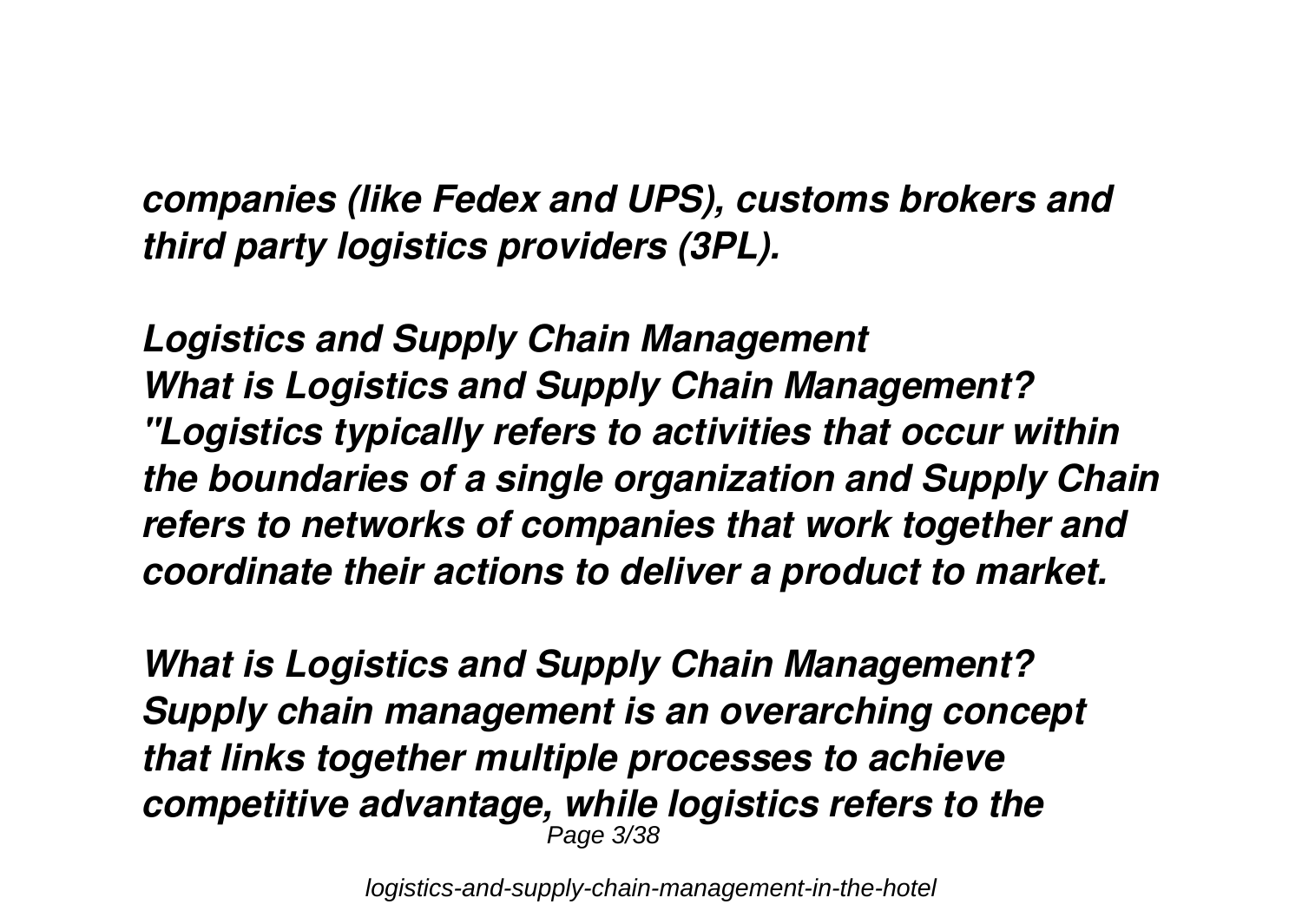*companies (like Fedex and UPS), customs brokers and third party logistics providers (3PL).*

*Logistics and Supply Chain Management What is Logistics and Supply Chain Management? "Logistics typically refers to activities that occur within the boundaries of a single organization and Supply Chain refers to networks of companies that work together and coordinate their actions to deliver a product to market.*

*What is Logistics and Supply Chain Management? Supply chain management is an overarching concept that links together multiple processes to achieve competitive advantage, while logistics refers to the* Page 3/38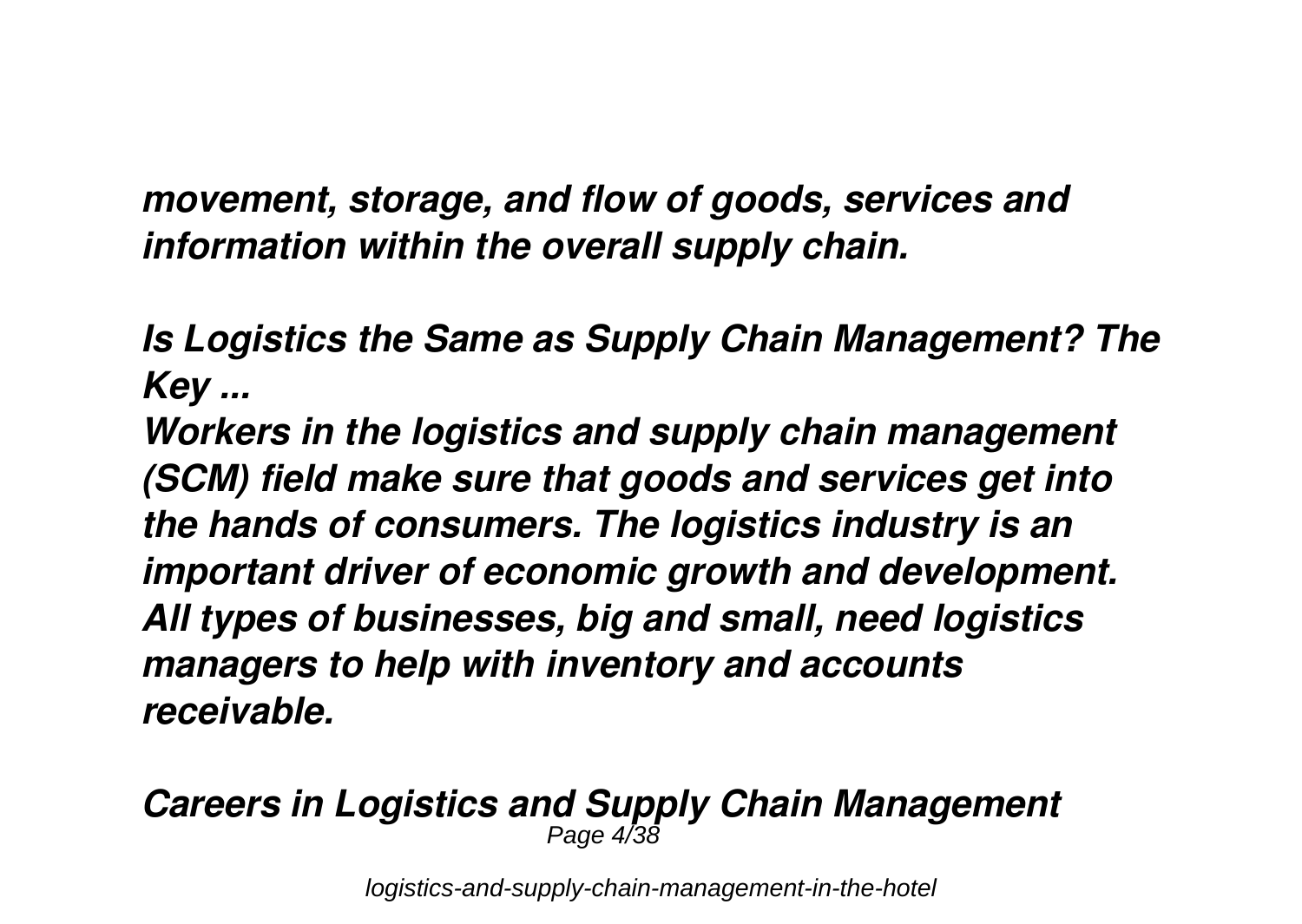*movement, storage, and flow of goods, services and information within the overall supply chain.*

*Is Logistics the Same as Supply Chain Management? The Key ...*

*Workers in the logistics and supply chain management (SCM) field make sure that goods and services get into the hands of consumers. The logistics industry is an important driver of economic growth and development. All types of businesses, big and small, need logistics managers to help with inventory and accounts receivable.*

#### *Careers in Logistics and Supply Chain Management* Page 4/38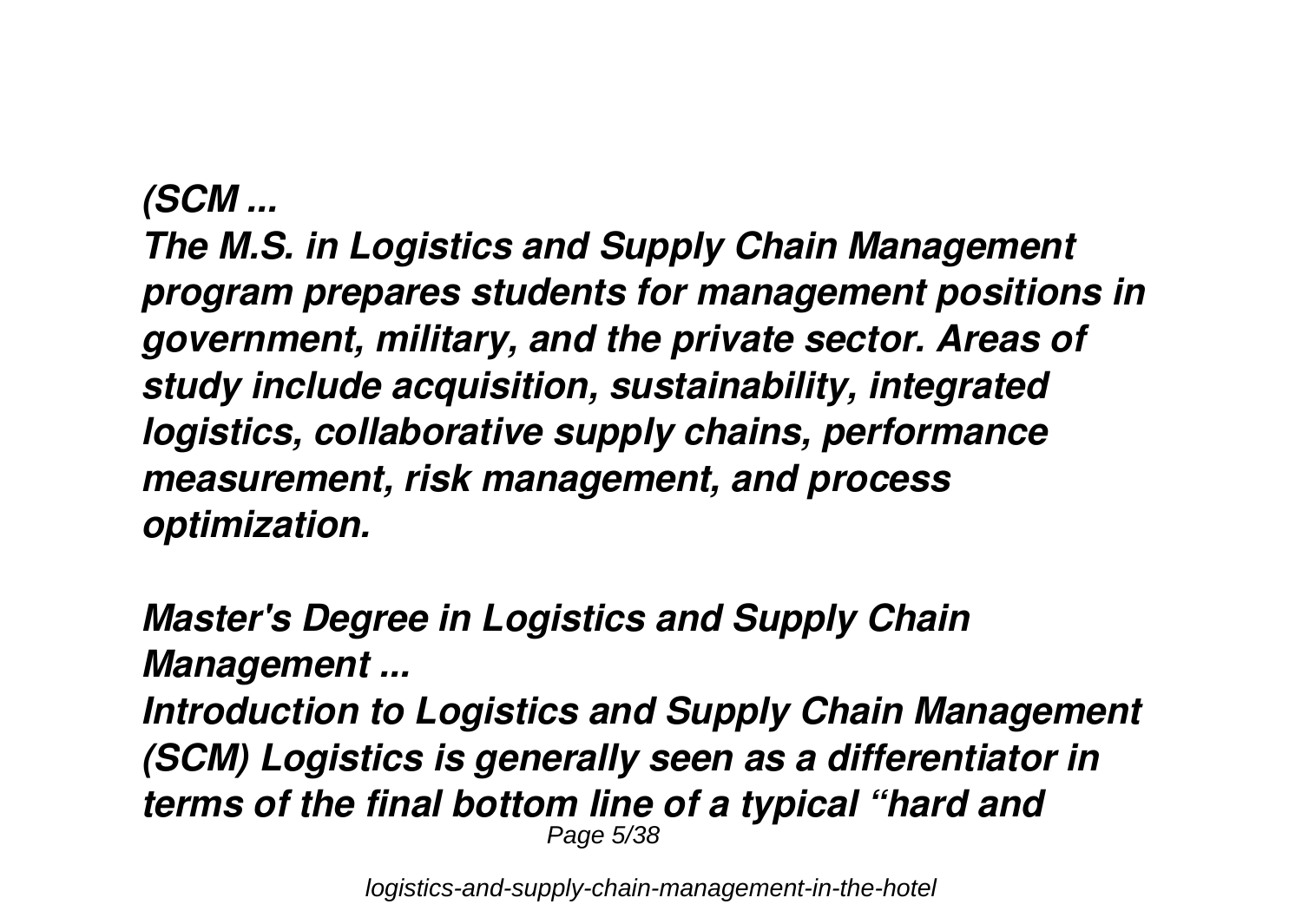#### *(SCM ...*

*The M.S. in Logistics and Supply Chain Management program prepares students for management positions in government, military, and the private sector. Areas of study include acquisition, sustainability, integrated logistics, collaborative supply chains, performance measurement, risk management, and process optimization.*

*Master's Degree in Logistics and Supply Chain Management ... Introduction to Logistics and Supply Chain Management (SCM) Logistics is generally seen as a differentiator in terms of the final bottom line of a typical "hard and* Page 5/38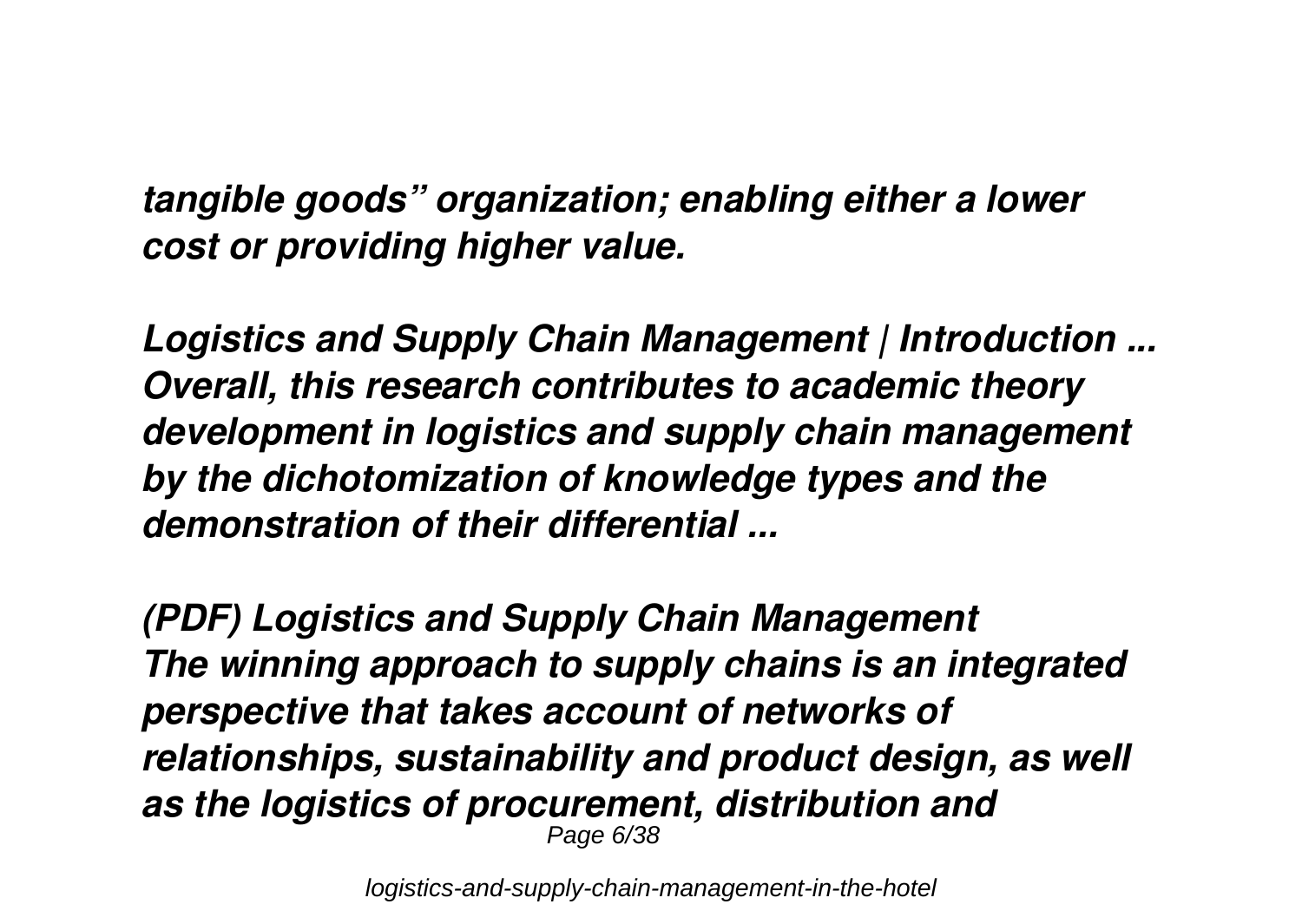*tangible goods" organization; enabling either a lower cost or providing higher value.*

*Logistics and Supply Chain Management | Introduction ... Overall, this research contributes to academic theory development in logistics and supply chain management by the dichotomization of knowledge types and the demonstration of their differential ...*

*(PDF) Logistics and Supply Chain Management The winning approach to supply chains is an integrated perspective that takes account of networks of relationships, sustainability and product design, as well as the logistics of procurement, distribution and* Page 6/38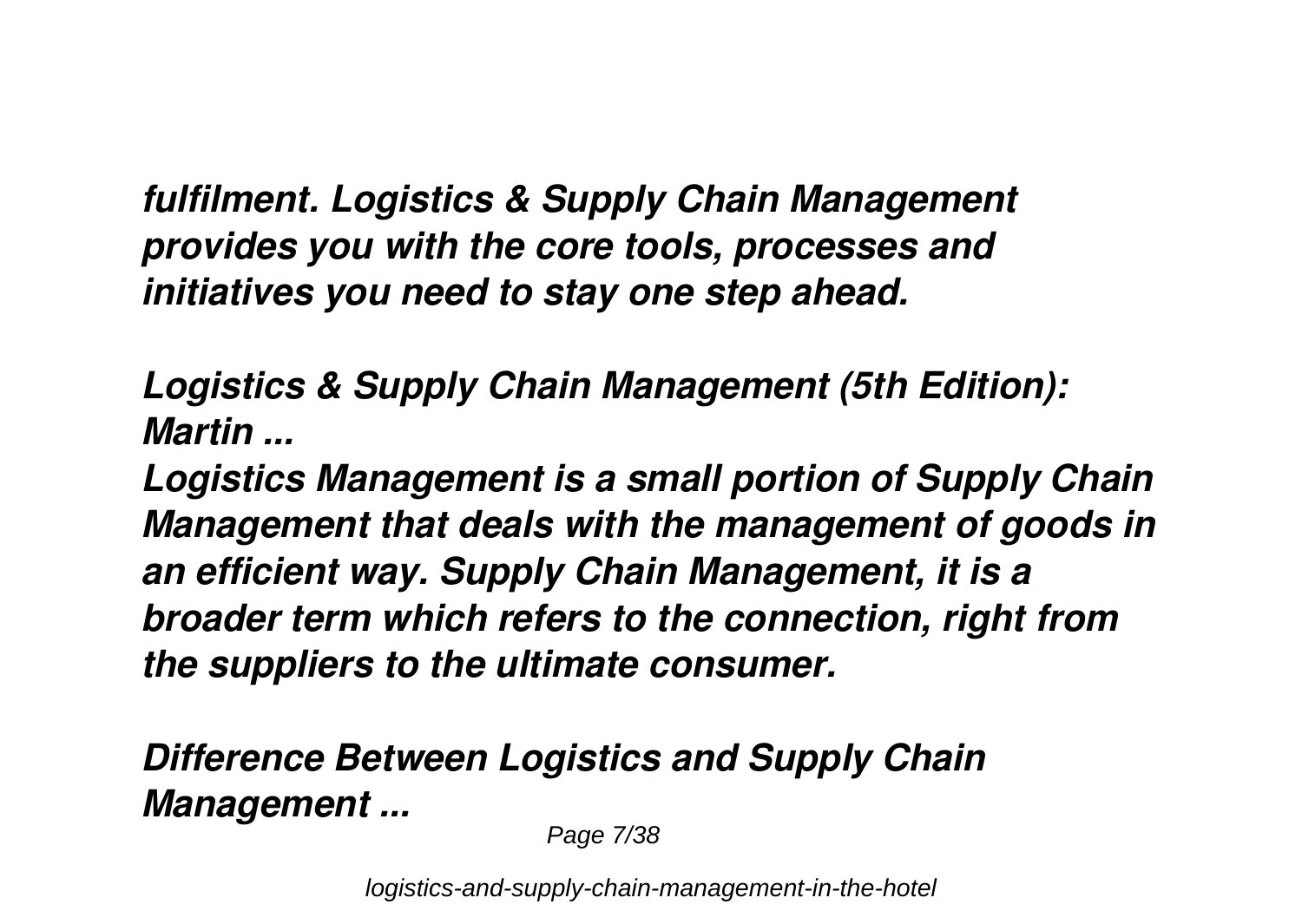*fulfilment. Logistics & Supply Chain Management provides you with the core tools, processes and initiatives you need to stay one step ahead.*

*Logistics & Supply Chain Management (5th Edition): Martin ...*

*Logistics Management is a small portion of Supply Chain Management that deals with the management of goods in an efficient way. Supply Chain Management, it is a broader term which refers to the connection, right from the suppliers to the ultimate consumer.*

*Difference Between Logistics and Supply Chain Management ...*

Page 7/38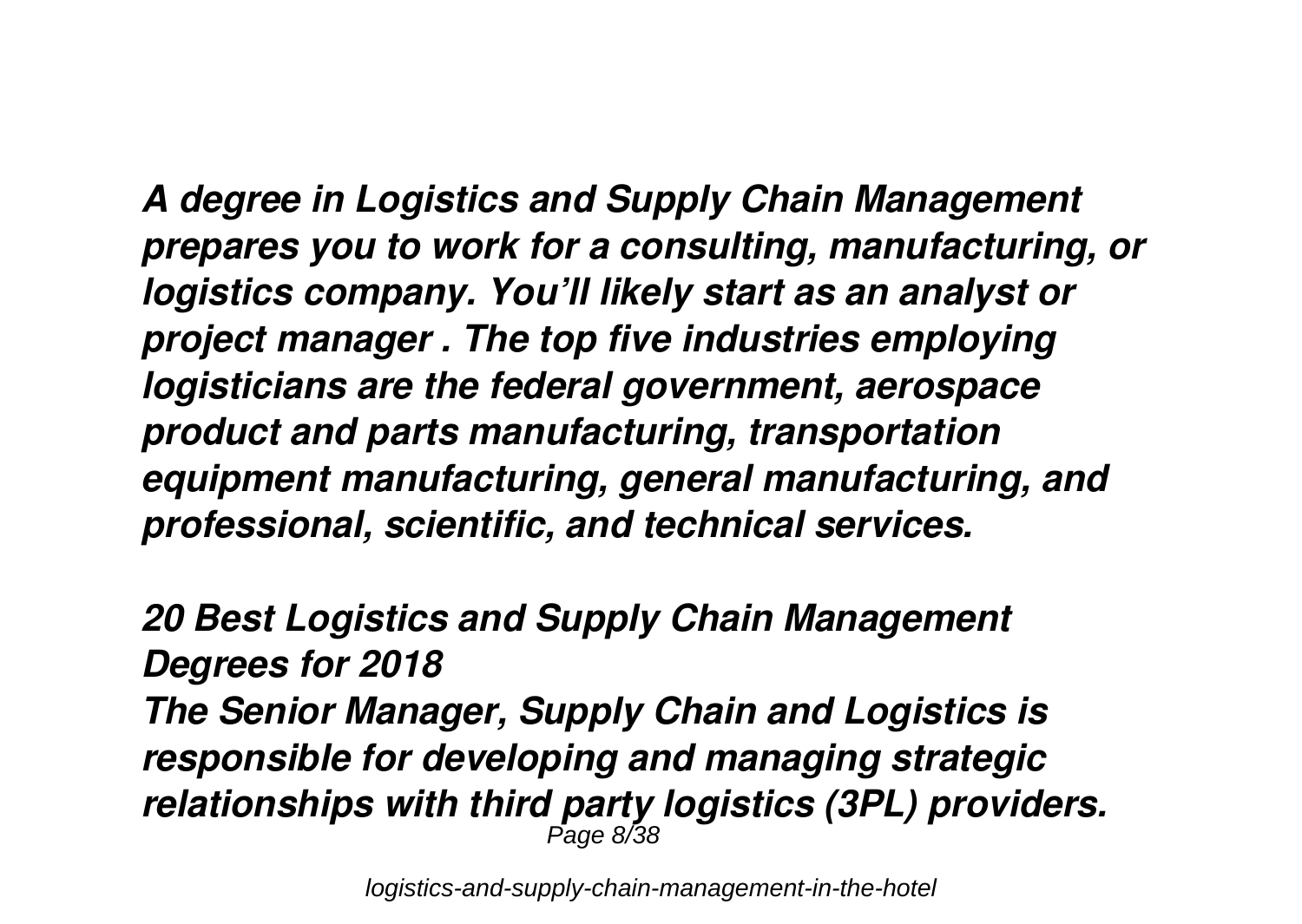*A degree in Logistics and Supply Chain Management prepares you to work for a consulting, manufacturing, or logistics company. You'll likely start as an analyst or project manager . The top five industries employing logisticians are the federal government, aerospace product and parts manufacturing, transportation equipment manufacturing, general manufacturing, and professional, scientific, and technical services.*

*20 Best Logistics and Supply Chain Management Degrees for 2018 The Senior Manager, Supply Chain and Logistics is responsible for developing and managing strategic relationships with third party logistics (3PL) providers.* Page 8/38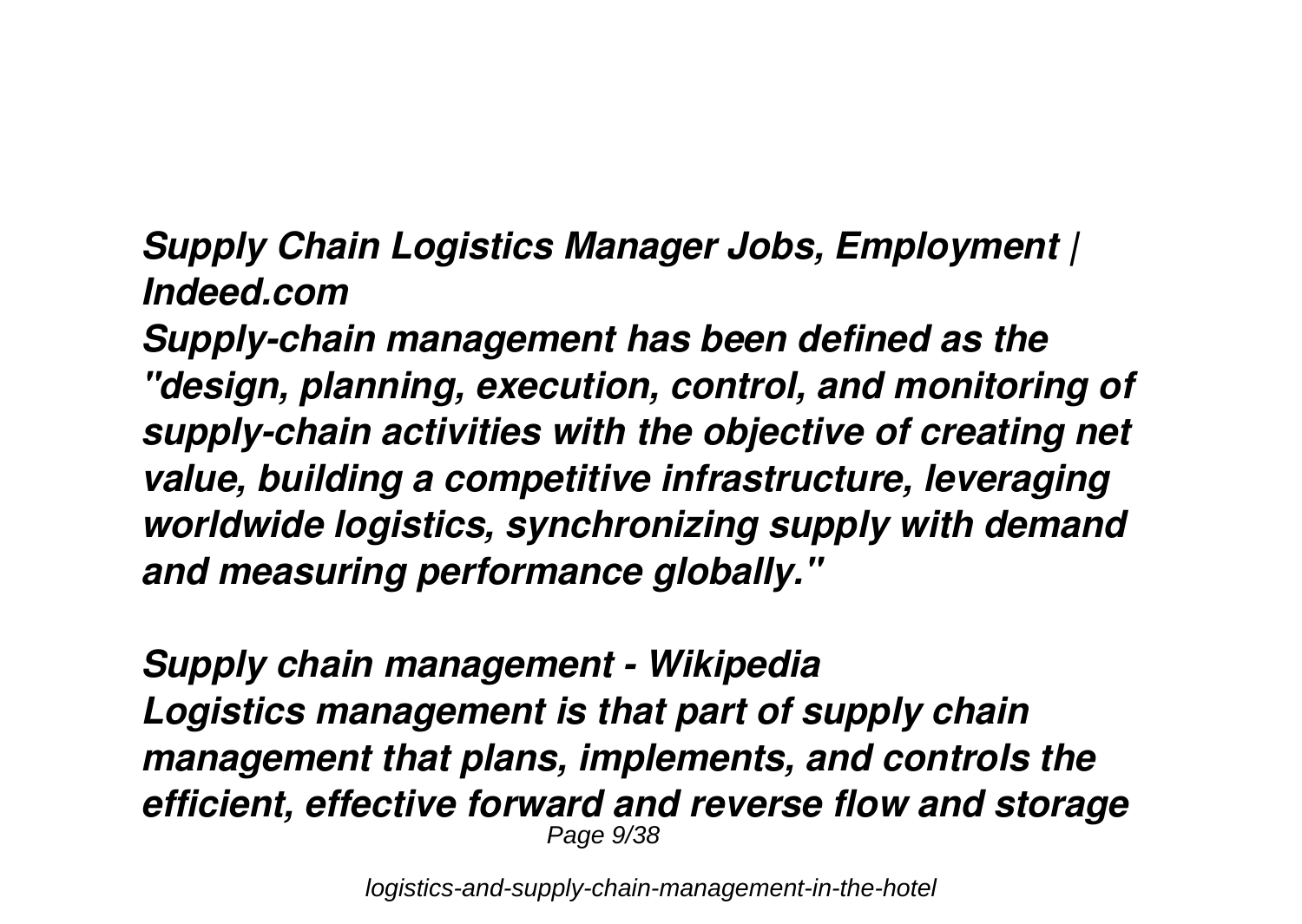*Supply Chain Logistics Manager Jobs, Employment | Indeed.com*

*Supply-chain management has been defined as the "design, planning, execution, control, and monitoring of supply-chain activities with the objective of creating net value, building a competitive infrastructure, leveraging worldwide logistics, synchronizing supply with demand and measuring performance globally."*

*Supply chain management - Wikipedia Logistics management is that part of supply chain management that plans, implements, and controls the efficient, effective forward and reverse flow and storage* Page 9/38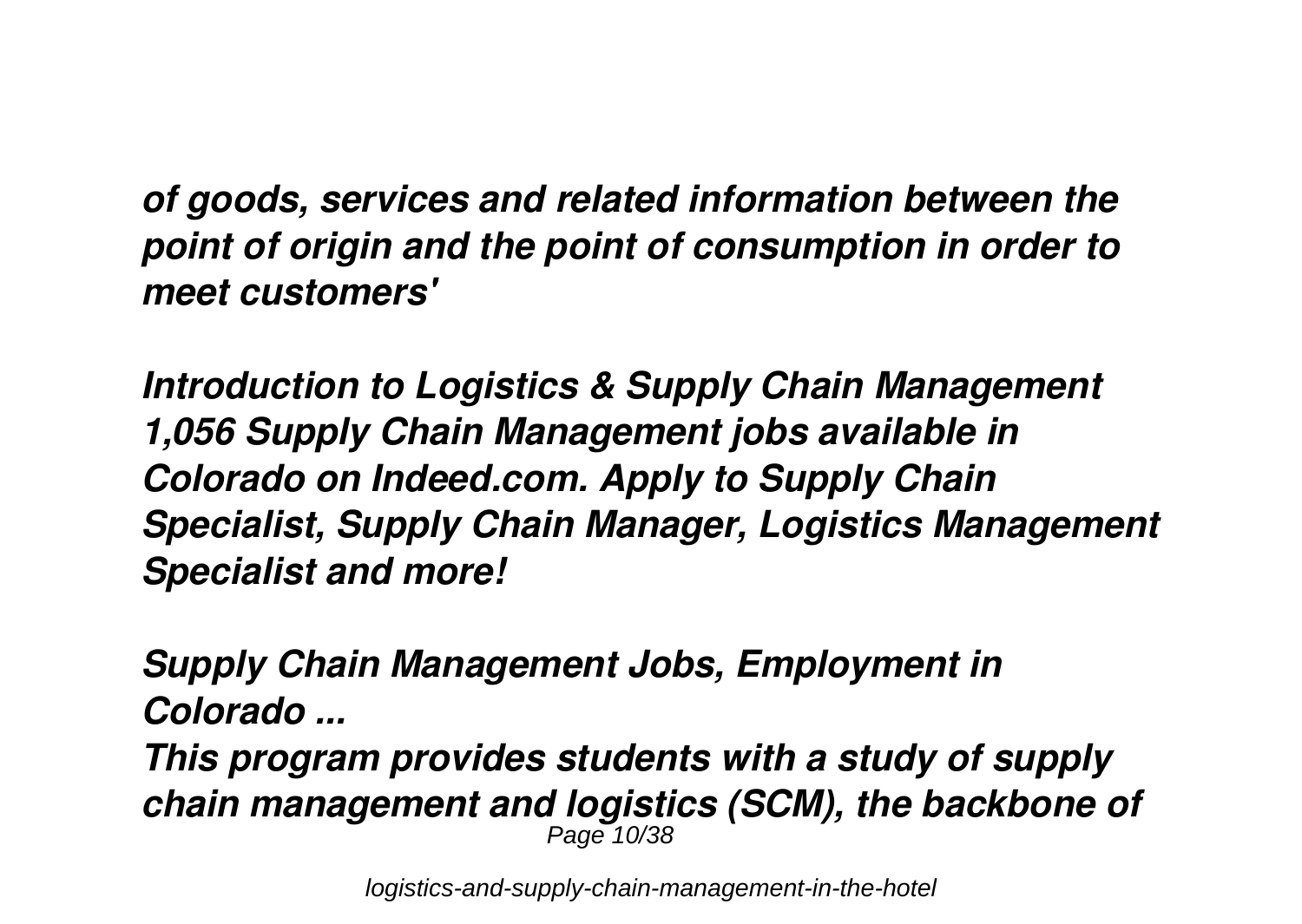*of goods, services and related information between the point of origin and the point of consumption in order to meet customers'*

*Introduction to Logistics & Supply Chain Management 1,056 Supply Chain Management jobs available in Colorado on Indeed.com. Apply to Supply Chain Specialist, Supply Chain Manager, Logistics Management Specialist and more!*

*Supply Chain Management Jobs, Employment in Colorado ... This program provides students with a study of supply chain management and logistics (SCM), the backbone of* Page 10/38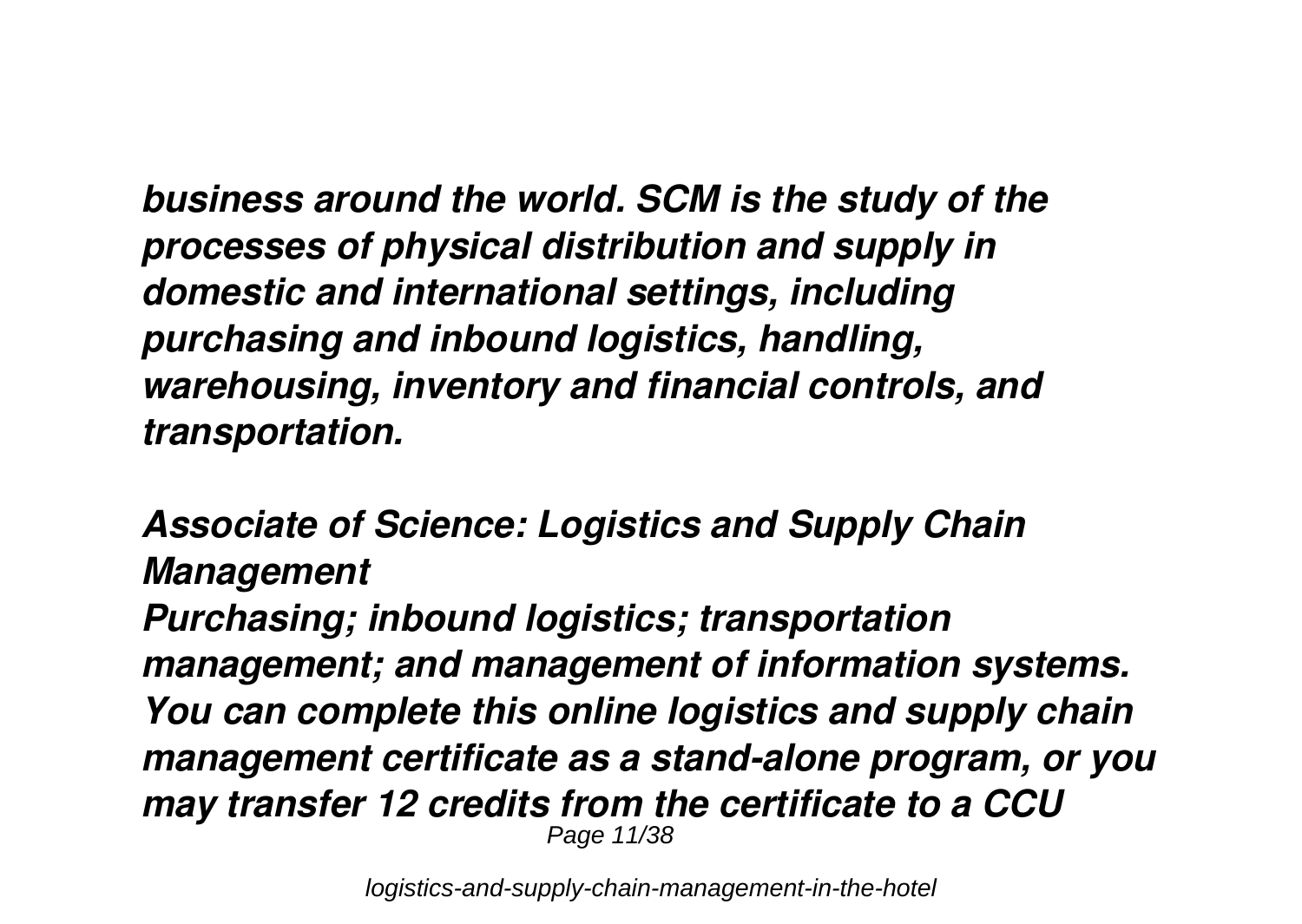*business around the world. SCM is the study of the processes of physical distribution and supply in domestic and international settings, including purchasing and inbound logistics, handling, warehousing, inventory and financial controls, and transportation.*

*Associate of Science: Logistics and Supply Chain Management*

*Purchasing; inbound logistics; transportation management; and management of information systems. You can complete this online logistics and supply chain management certificate as a stand-alone program, or you may transfer 12 credits from the certificate to a CCU* Page 11/38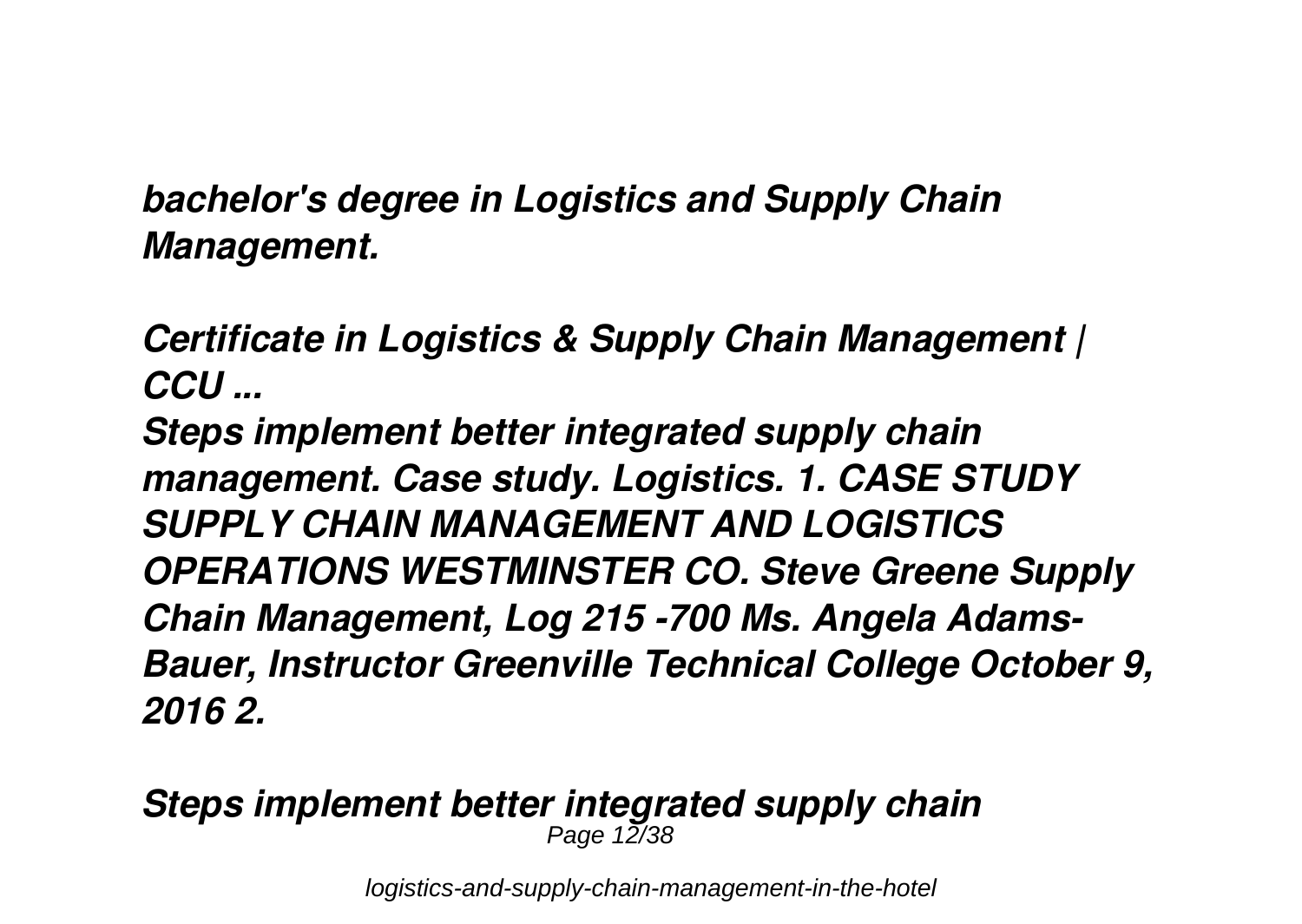*bachelor's degree in Logistics and Supply Chain Management.*

*Certificate in Logistics & Supply Chain Management | CCU ...*

*Steps implement better integrated supply chain management. Case study. Logistics. 1. CASE STUDY SUPPLY CHAIN MANAGEMENT AND LOGISTICS OPERATIONS WESTMINSTER CO. Steve Greene Supply Chain Management, Log 215 -700 Ms. Angela Adams-Bauer, Instructor Greenville Technical College October 9, 2016 2.*

#### *Steps implement better integrated supply chain* Page 12/38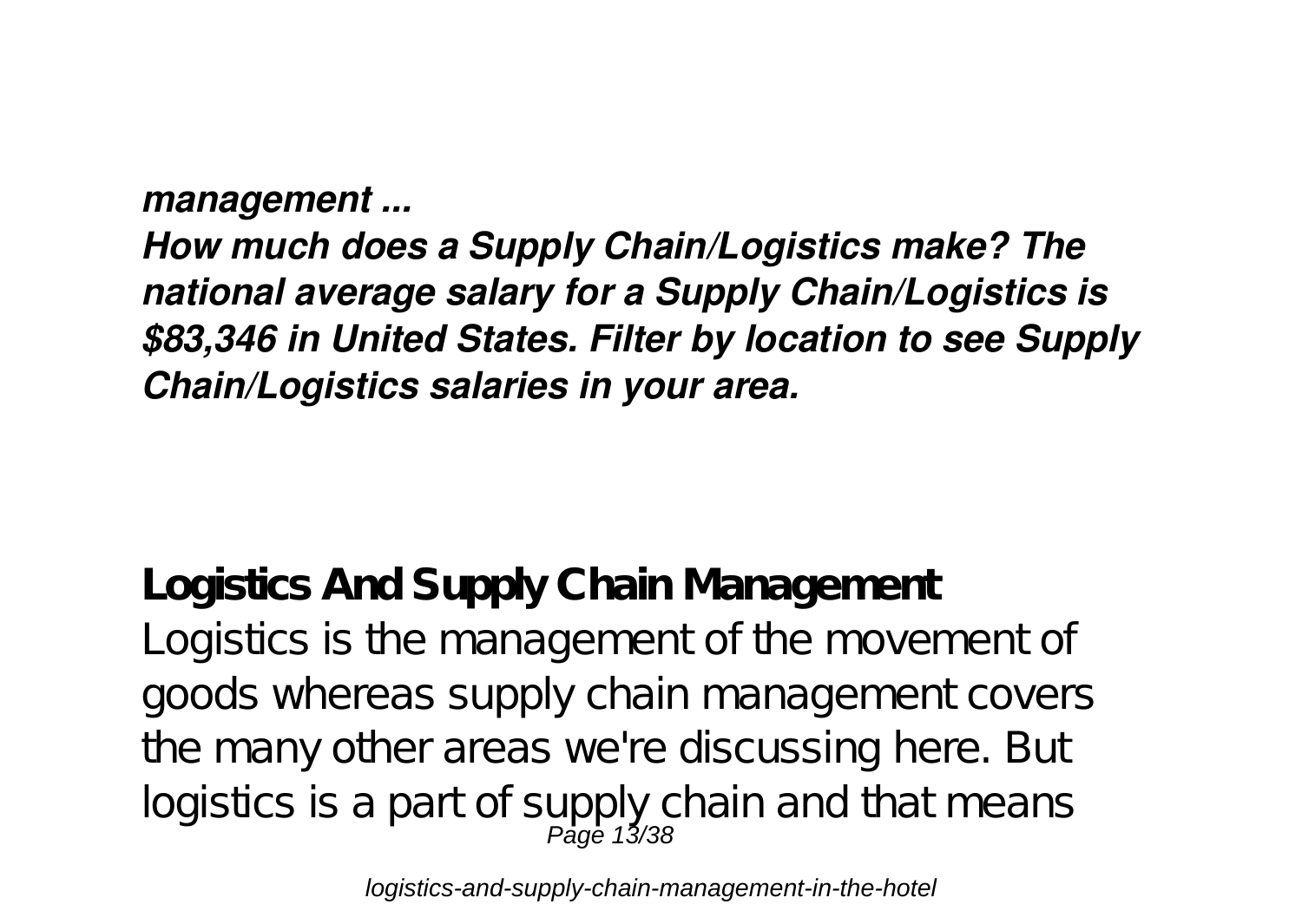*management ...*

*How much does a Supply Chain/Logistics make? The national average salary for a Supply Chain/Logistics is \$83,346 in United States. Filter by location to see Supply Chain/Logistics salaries in your area.*

**Logistics And Supply Chain Management** Logistics is the management of the movement of goods whereas supply chain management covers the many other areas we're discussing here. But logistics is a part of supply chain and that means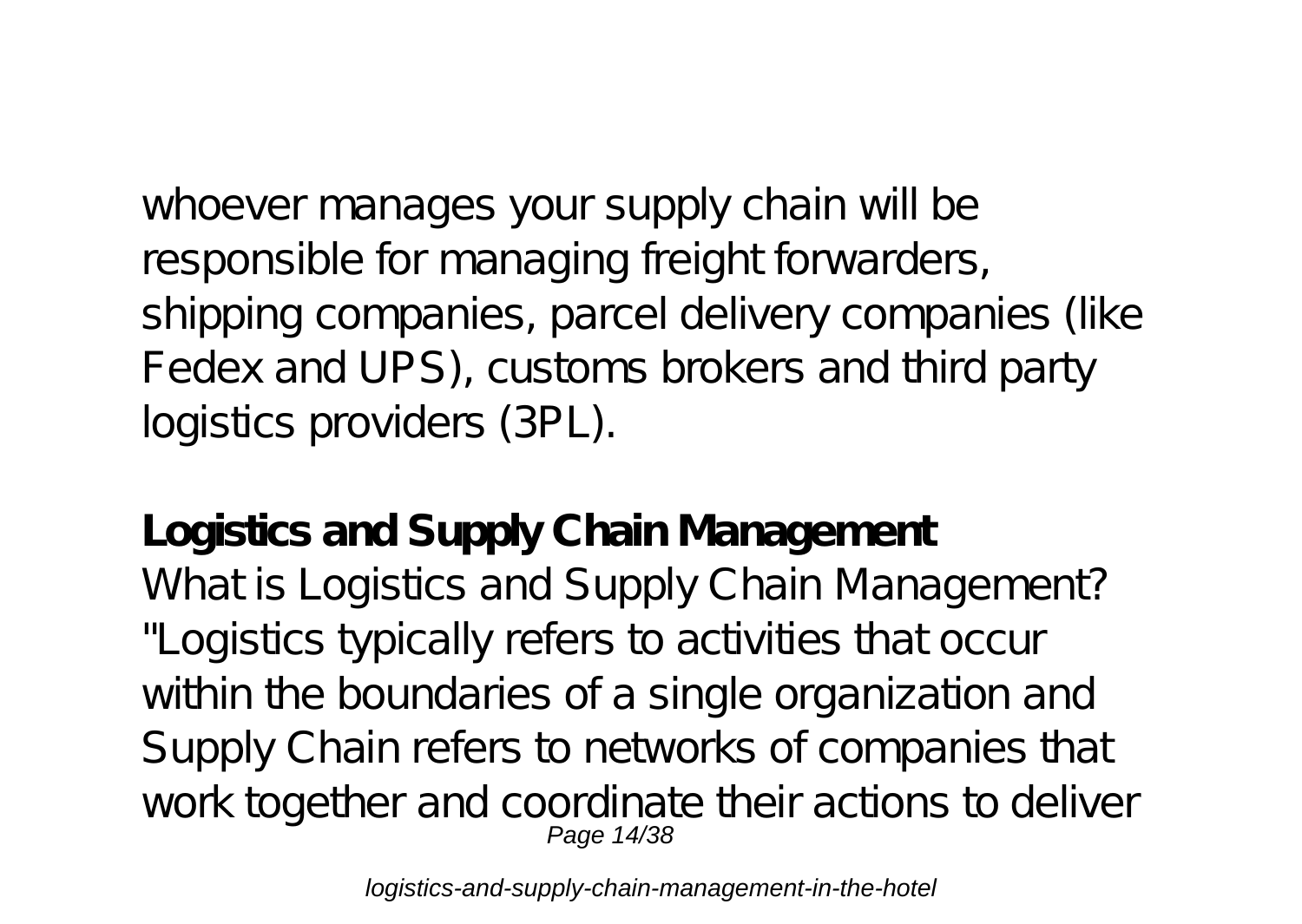whoever manages your supply chain will be responsible for managing freight forwarders, shipping companies, parcel delivery companies (like Fedex and UPS), customs brokers and third party logistics providers (3PL).

**Logistics and Supply Chain Management** What is Logistics and Supply Chain Management? "Logistics typically refers to activities that occur within the boundaries of a single organization and Supply Chain refers to networks of companies that work together and coordinate their actions to deliver Page 14/38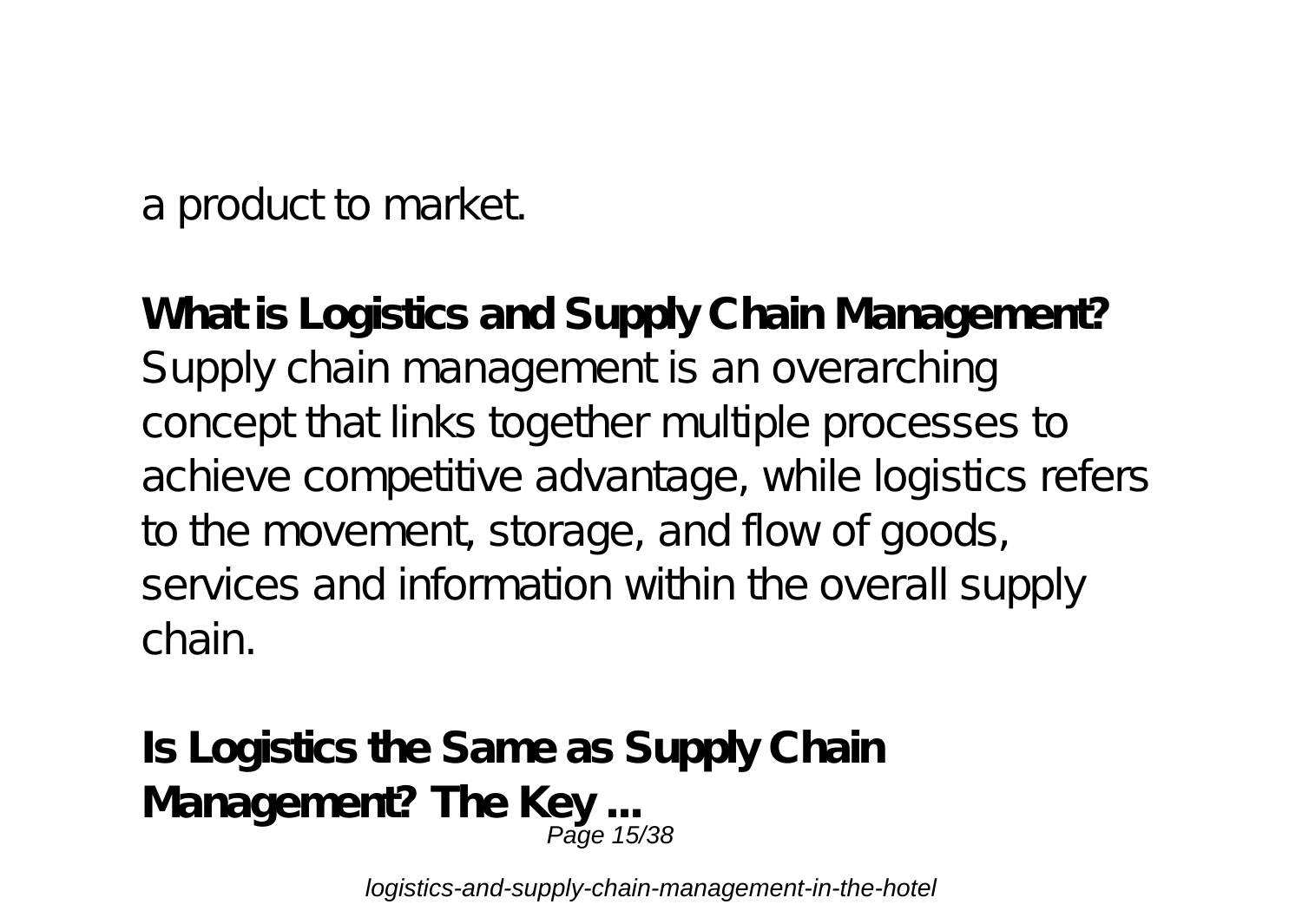a product to market.

**What is Logistics and Supply Chain Management?** Supply chain management is an overarching concept that links together multiple processes to achieve competitive advantage, while logistics refers to the movement, storage, and flow of goods, services and information within the overall supply chain.

**Is Logistics the Same as Supply Chain** Management? The Key ...<br><sup>25/38</sup> Page 15/38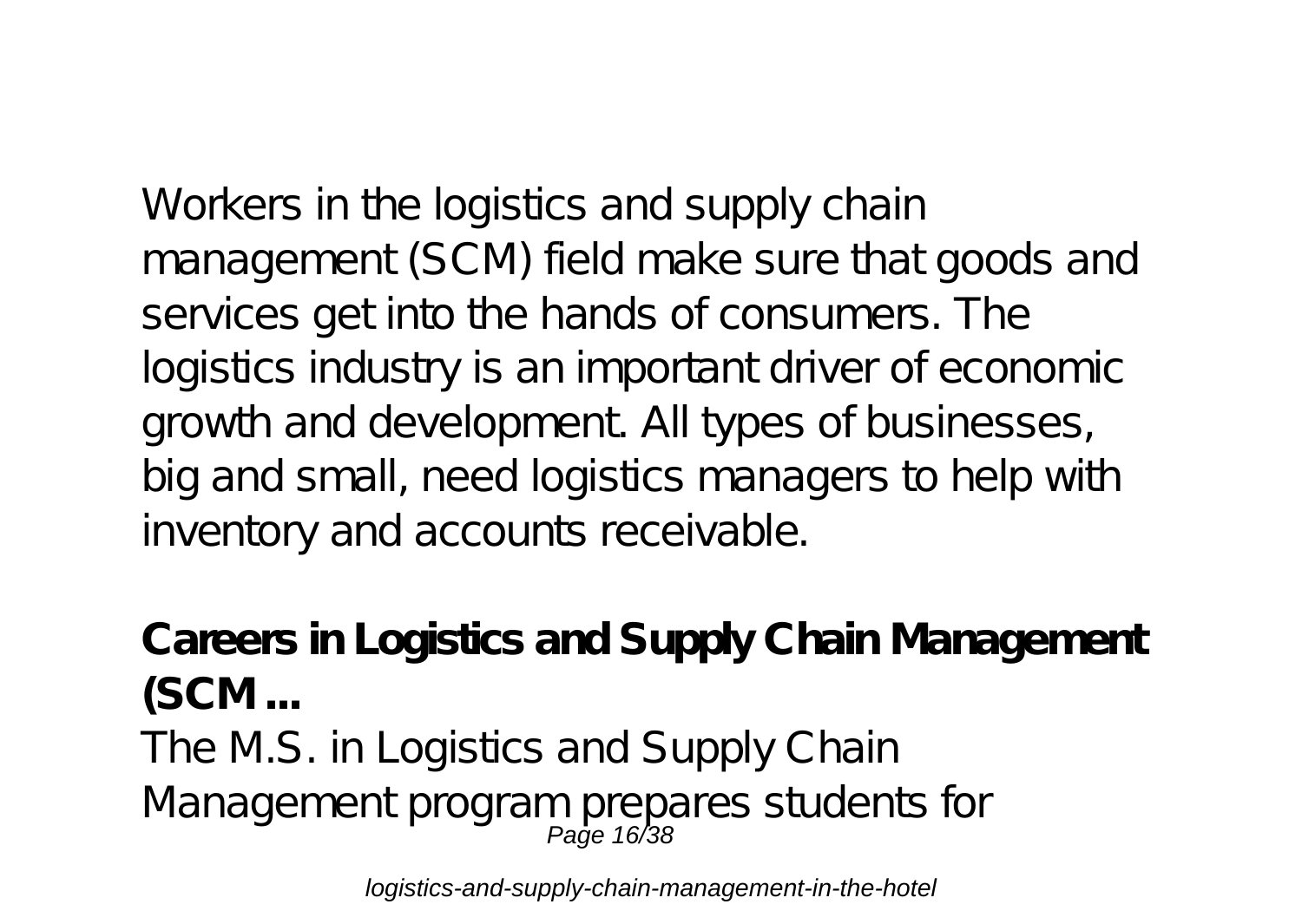Workers in the logistics and supply chain management (SCM) field make sure that goods and services get into the hands of consumers. The logistics industry is an important driver of economic growth and development. All types of businesses, big and small, need logistics managers to help with inventory and accounts receivable.

**Careers in Logistics and Supply Chain Management (SCM ...** The M.S. in Logistics and Supply Chain Management program prepares students for<br>Page 16/38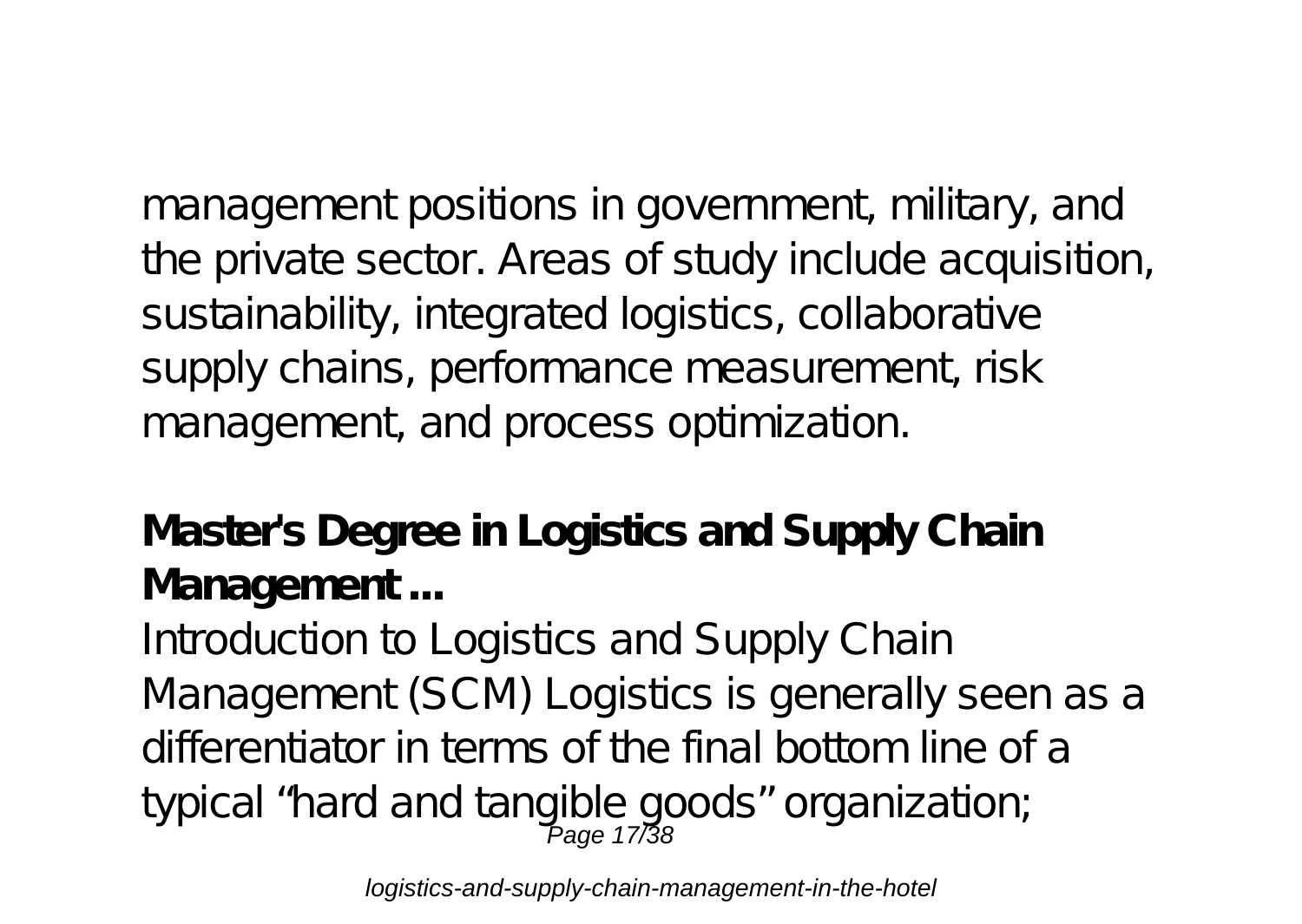management positions in government, military, and the private sector. Areas of study include acquisition, sustainability, integrated logistics, collaborative supply chains, performance measurement risk management, and process optimization.

**Master's Degree in Logistics and Supply Chain Management ...**

Introduction to Logistics and Supply Chain Management (SCM) Logistics is generally seen as a differentiator in terms of the final bottom line of a typical "hard and tangible goods" organization;<br>Page 17/38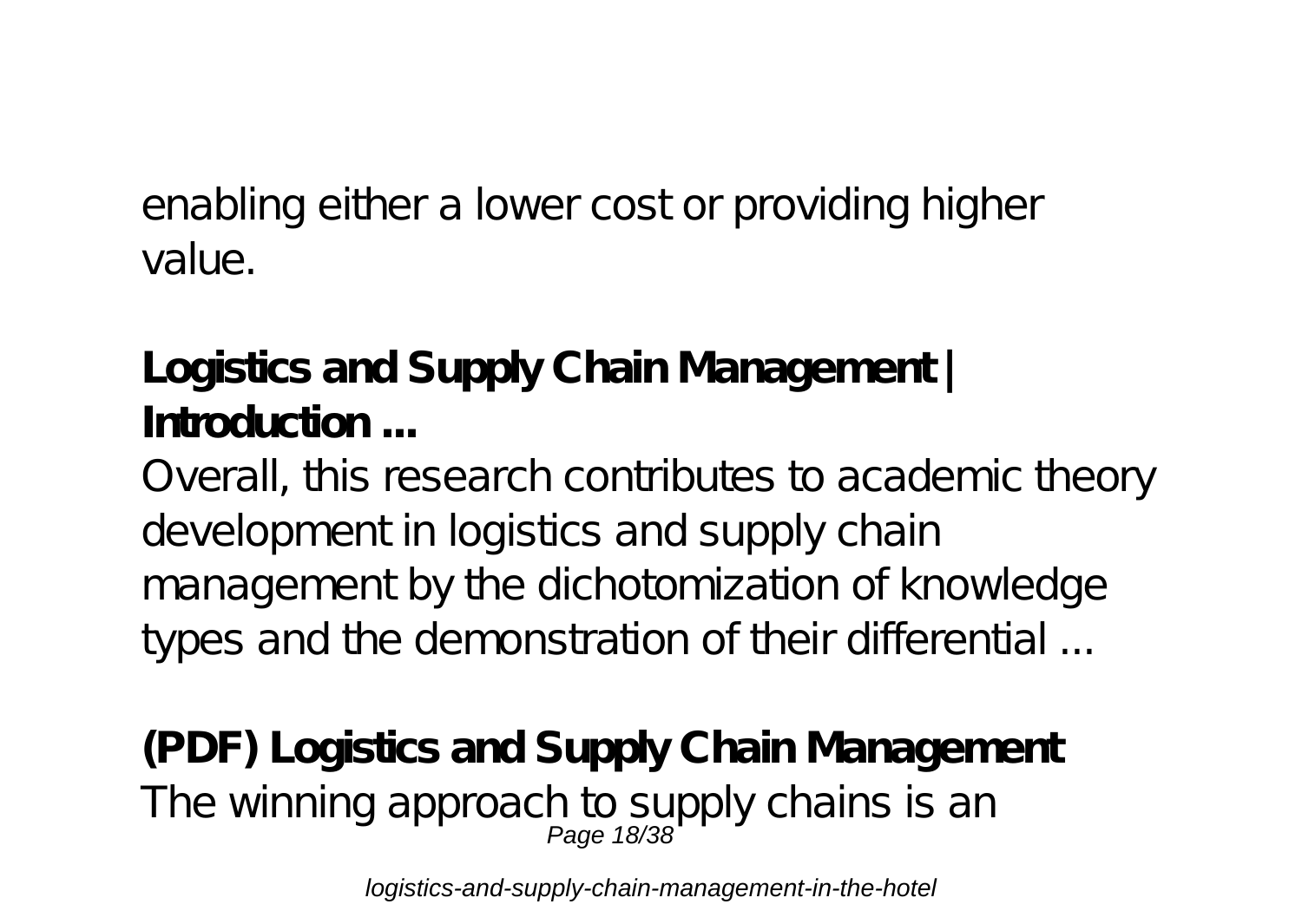enabling either a lower cost or providing higher value.

**Logistics and Supply Chain Management | Introduction ...**

Overall, this research contributes to academic theory development in logistics and supply chain management by the dichotomization of knowledge types and the demonstration of their differential ...

**(PDF) Logistics and Supply Chain Management** The winning approach to supply chains is an<br>Page 18/38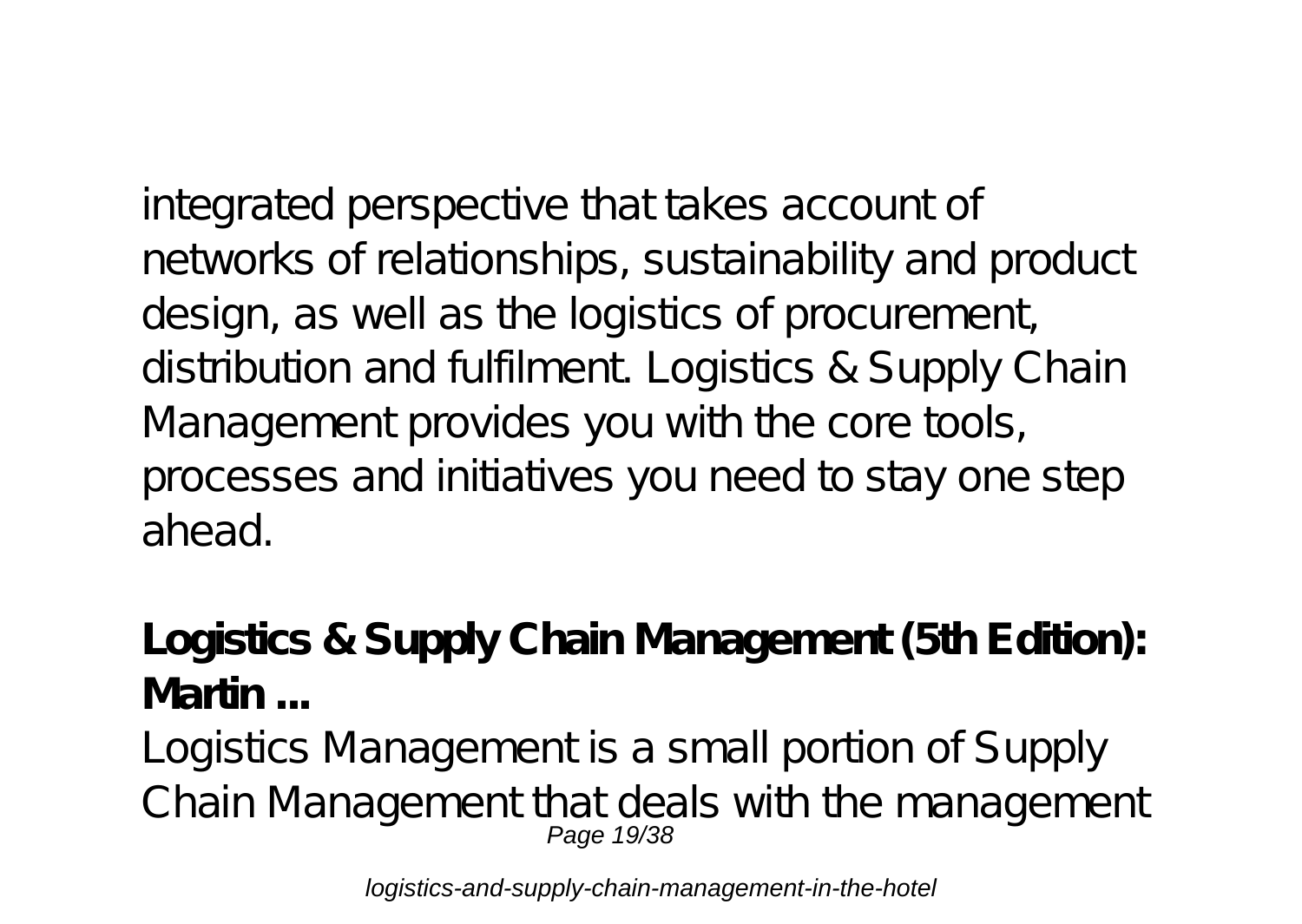integrated perspective that takes account of networks of relationships, sustainability and product design, as well as the logistics of procurement, distribution and fulfilment. Logistics & Supply Chain Management provides you with the core tools, processes and initiatives you need to stay one step ahead.

**Logistics & Supply Chain Management (5th Edition): Martin ...**

Logistics Management is a small portion of Supply Chain Management that deals with the management Page 19/38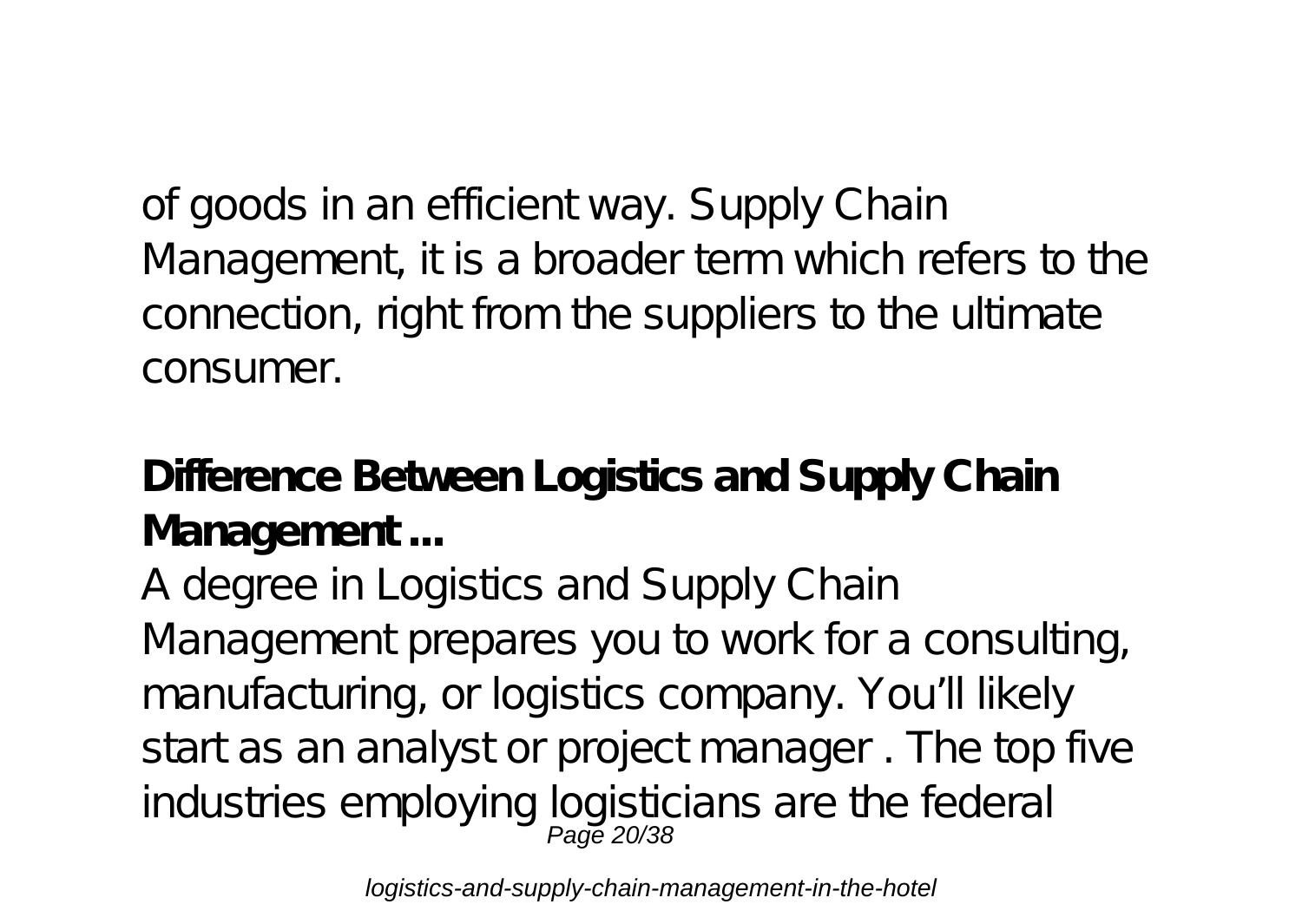of goods in an efficient way. Supply Chain Management, it is a broader term which refers to the connection, right from the suppliers to the ultimate consumer.

**Difference Between Logistics and Supply Chain Management ...**

A degree in Logistics and Supply Chain Management prepares you to work for a consulting, manufacturing, or logistics company. You'll likely start as an analyst or project manager . The top five industries employing logisticians are the federal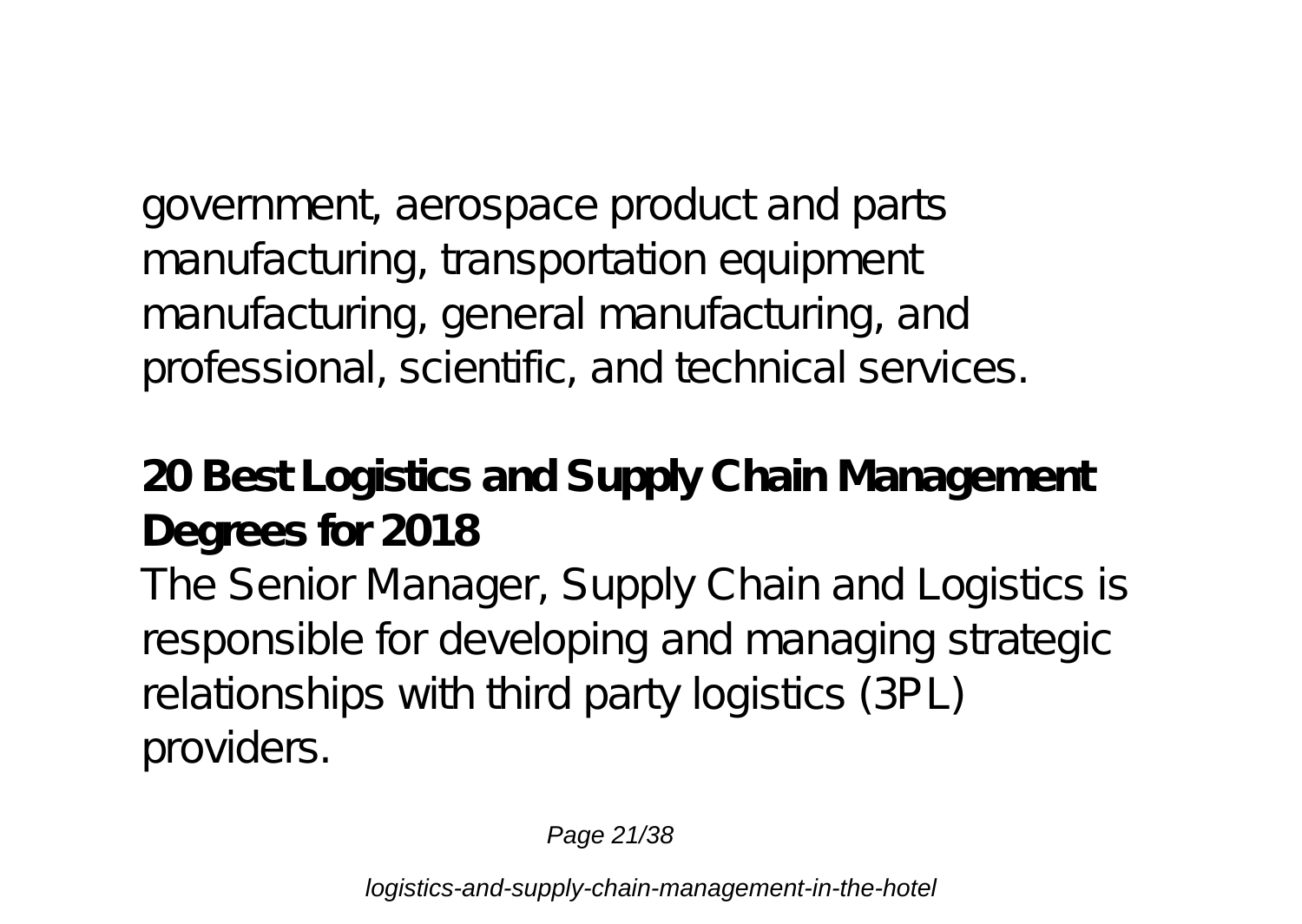government, aerospace product and parts manufacturing, transportation equipment manufacturing, general manufacturing, and professional, scientific, and technical services.

**20 Best Logistics and Supply Chain Management Degrees for 2018** The Senior Manager, Supply Chain and Logistics is responsible for developing and managing strategic relationships with third party logistics (3PL) providers.

Page 21/38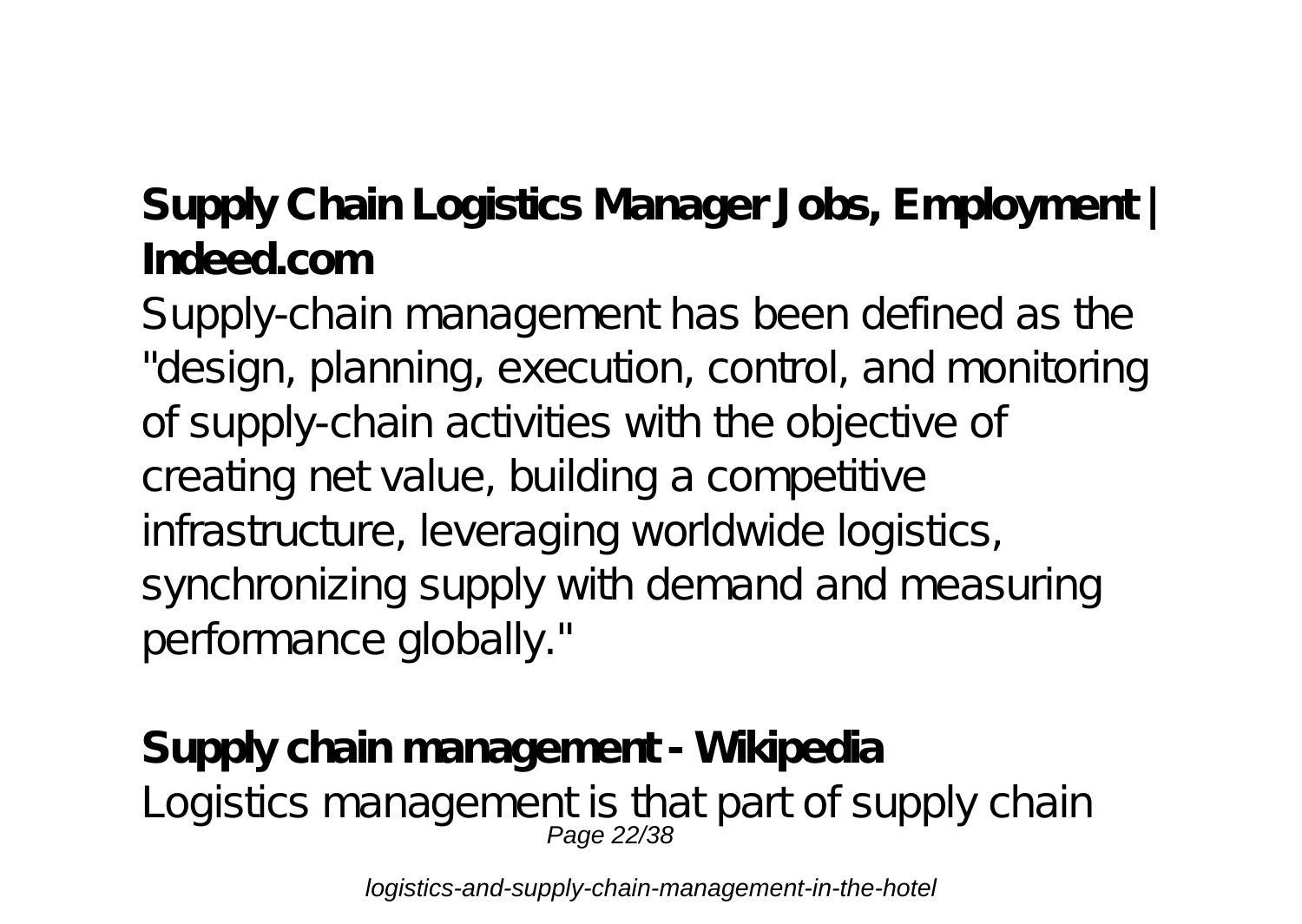#### **Supply Chain Logistics Manager Jobs, Employment | Indeed.com**

Supply-chain management has been defined as the "design, planning, execution, control, and monitoring of supply-chain activities with the objective of creating net value, building a competitive infrastructure, leveraging worldwide logistics, synchronizing supply with demand and measuring performance globally."

# **Supply chain management - Wikipedia** Logistics management is that part of supply chain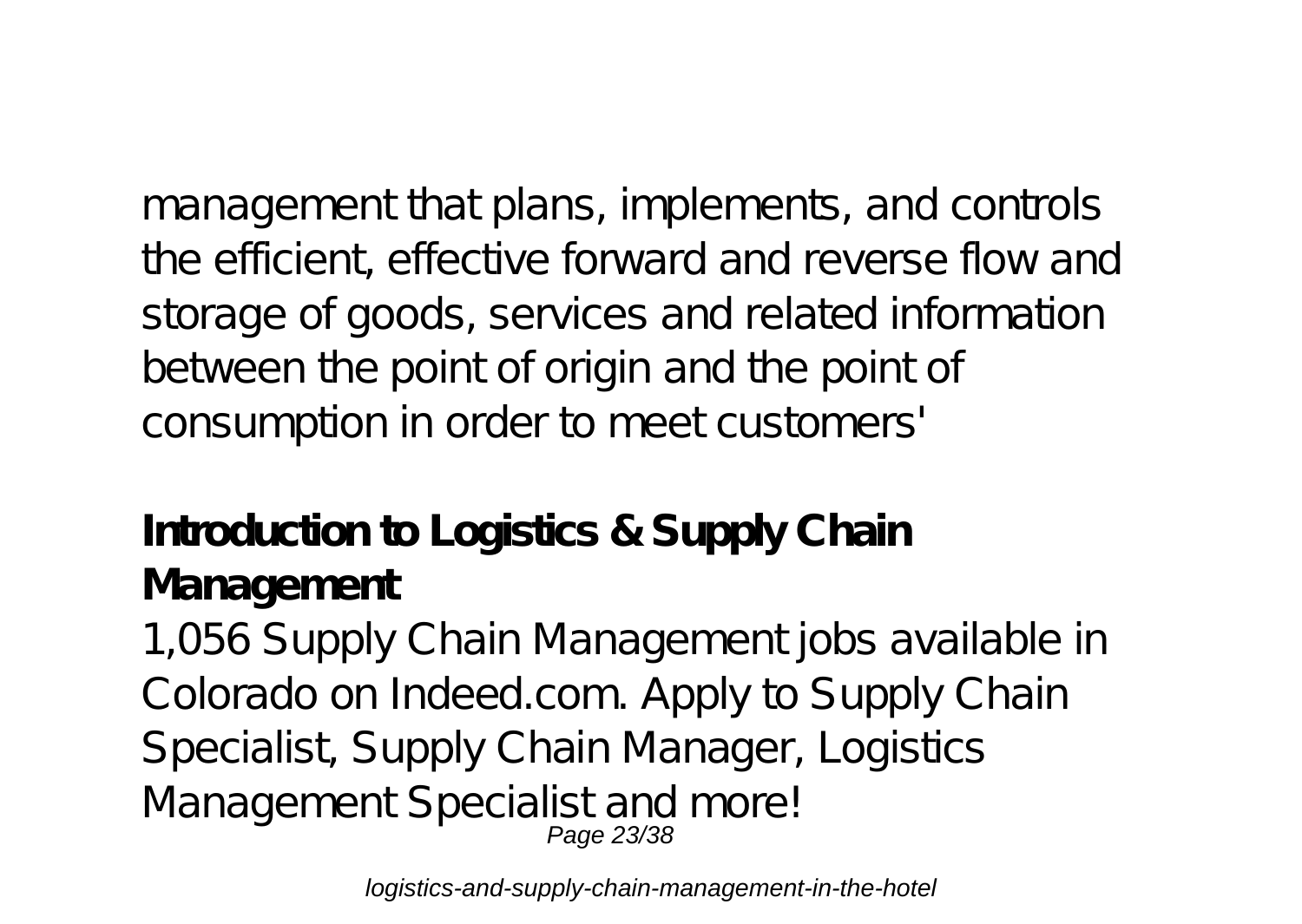management that plans, implements, and controls the efficient, effective forward and reverse flow and storage of goods, services and related information between the point of origin and the point of consumption in order to meet customers'

#### **Introduction to Logistics & Supply Chain Management**

1,056 Supply Chain Management jobs available in Colorado on Indeed.com. Apply to Supply Chain Specialist, Supply Chain Manager, Logistics Management Specialist and more! Page 23/38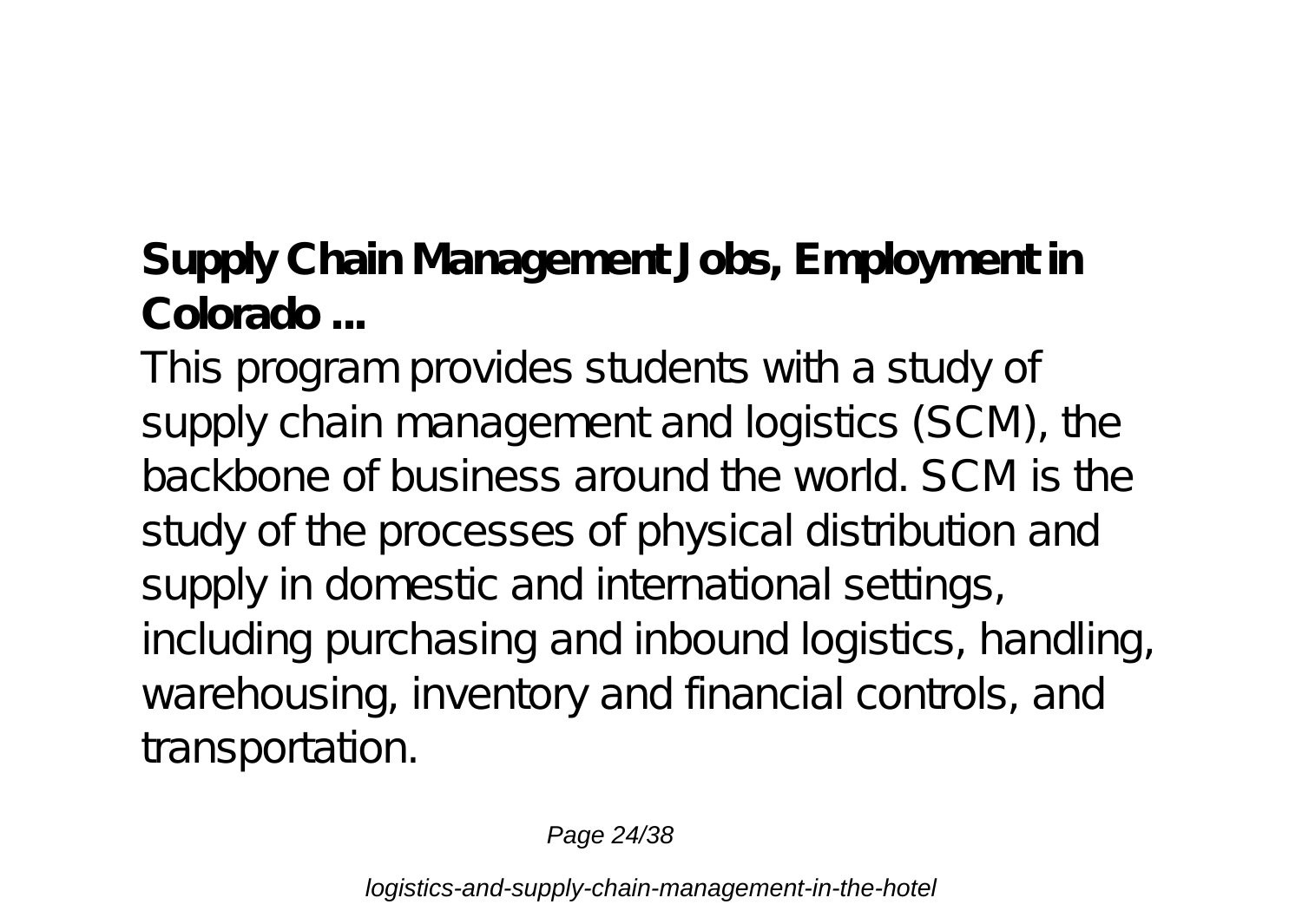### **Supply Chain Management Jobs, Employment in Colorado ...**

This program provides students with a study of supply chain management and logistics (SCM), the backbone of business around the world. SCM is the study of the processes of physical distribution and supply in domestic and international settings, including purchasing and inbound logistics, handling, warehousing, inventory and financial controls, and transportation.

Page 24/38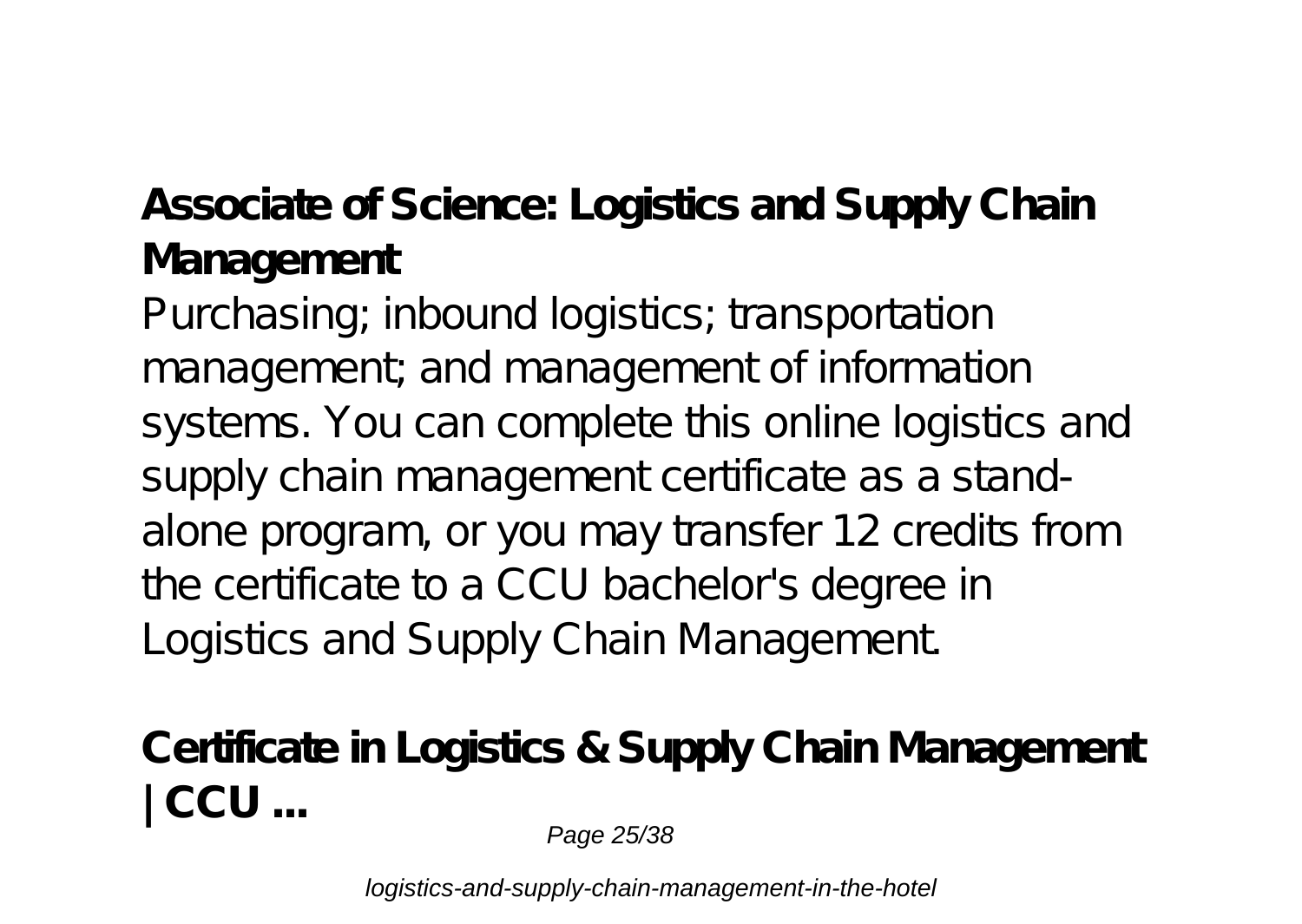#### **Associate of Science: Logistics and Supply Chain Management**

Purchasing; inbound logistics; transportation management; and management of information systems. You can complete this online logistics and supply chain management certificate as a standalone program, or you may transfer 12 credits from the certificate to a CCU bachelor's degree in Logistics and Supply Chain Management.

**Certificate in Logistics & Supply Chain Management | CCU ...**

Page 25/38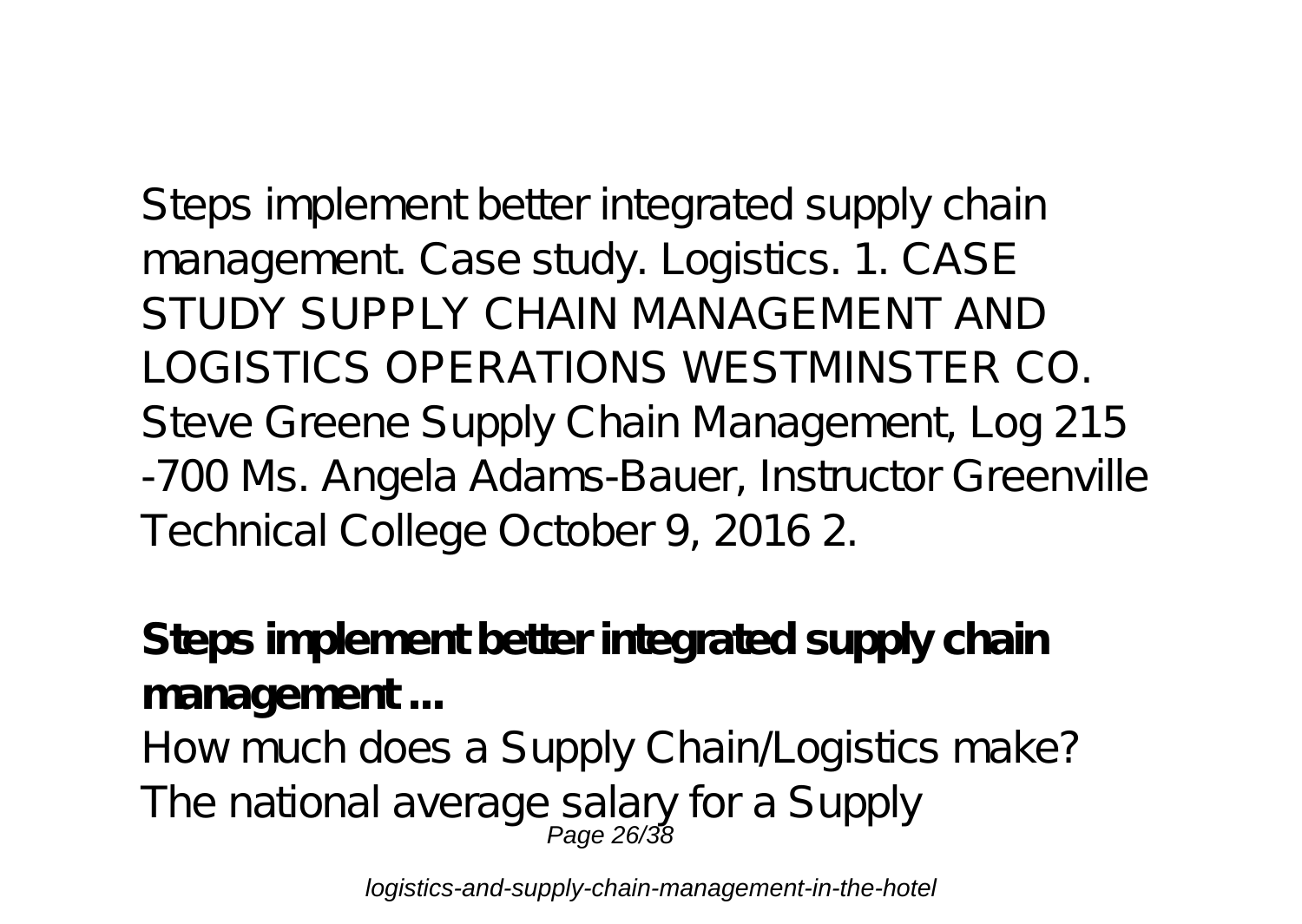Steps implement better integrated supply chain management. Case study. Logistics. 1. CASE STUDY SUPPLY CHAIN MANAGEMENT AND LOGISTICS OPERATIONS WESTMINSTER CO. Steve Greene Supply Chain Management, Log 215 -700 Ms. Angela Adams-Bauer, Instructor Greenville Technical College October 9, 2016 2.

**Steps implement better integrated supply chain management ...**

How much does a Supply Chain Logistics make? The national average salary for a Supply<br>Page 26/38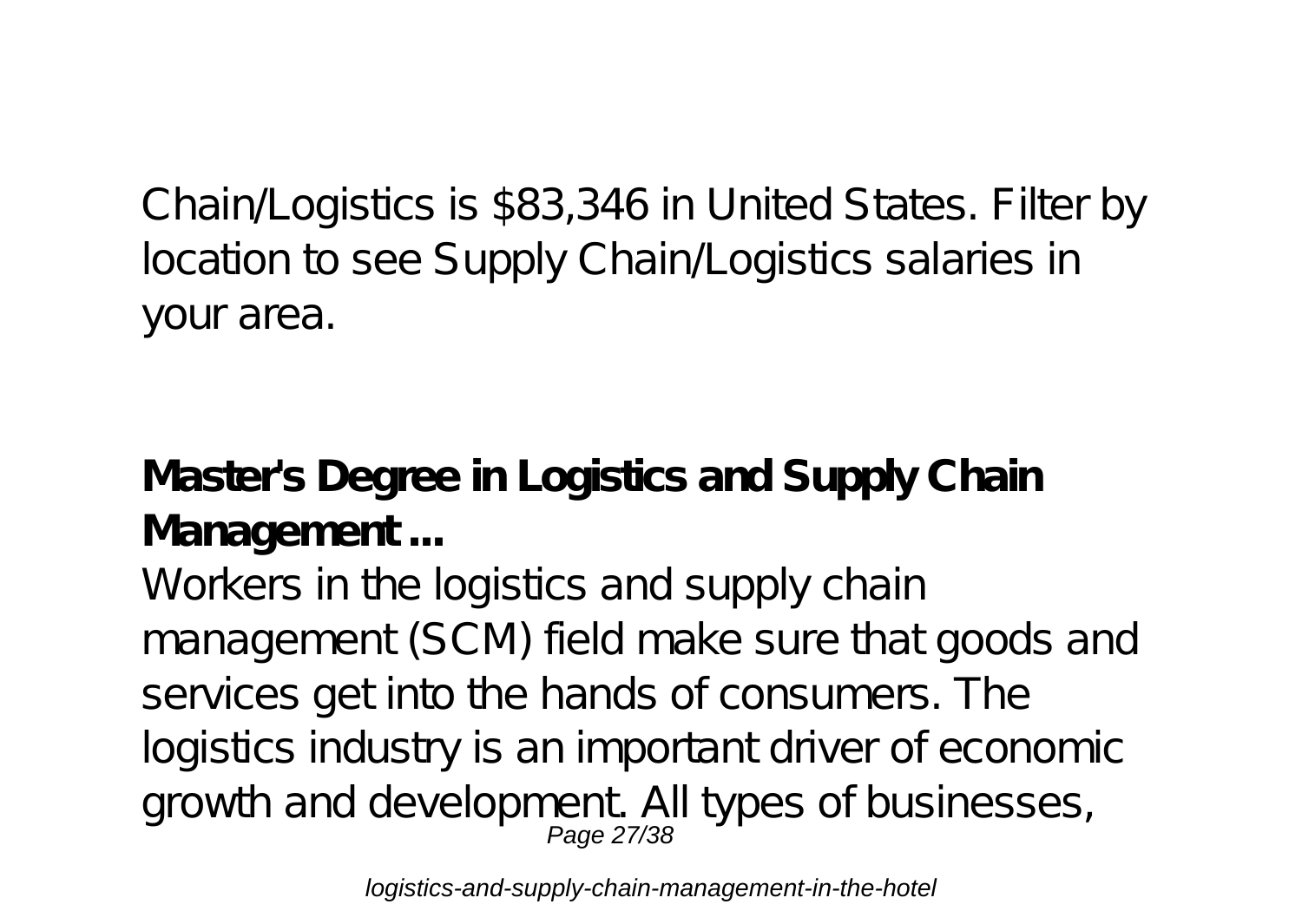Chain/Logistics is \$83,346 in United States. Filter by location to see Supply Chain/Logistics salaries in your area.

**Master's Degree in Logistics and Supply Chain Management ...**

Workers in the logistics and supply chain management (SCM) field make sure that goods and services get into the hands of consumers. The logistics industry is an important driver of economic growth and development All types of businesses,<br>Page 27/38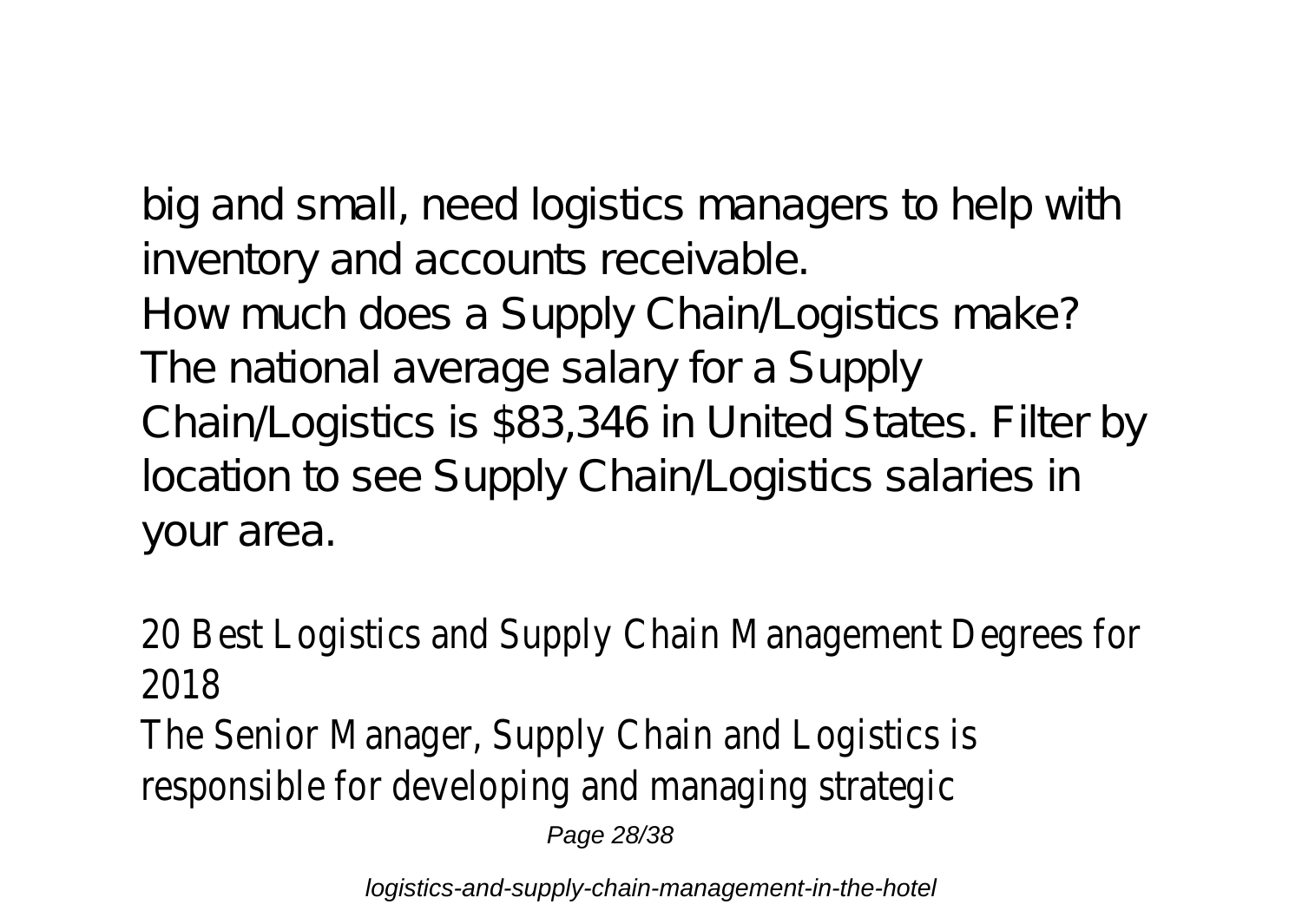big and small, need logistics managers to help with inventory and accounts receivable. How much does a Supply Chain Logistics make? The national average salary for a Supply Chain/Logistics is \$83,346 in United States. Filter by location to see Supply Chain/Logistics salaries in your area.

20 Best Logistics and Supply Chain Management Degrees for 2018 The Senior Manager, Supply Chain and Logistics is responsible for developing and managing strategic Page 28/38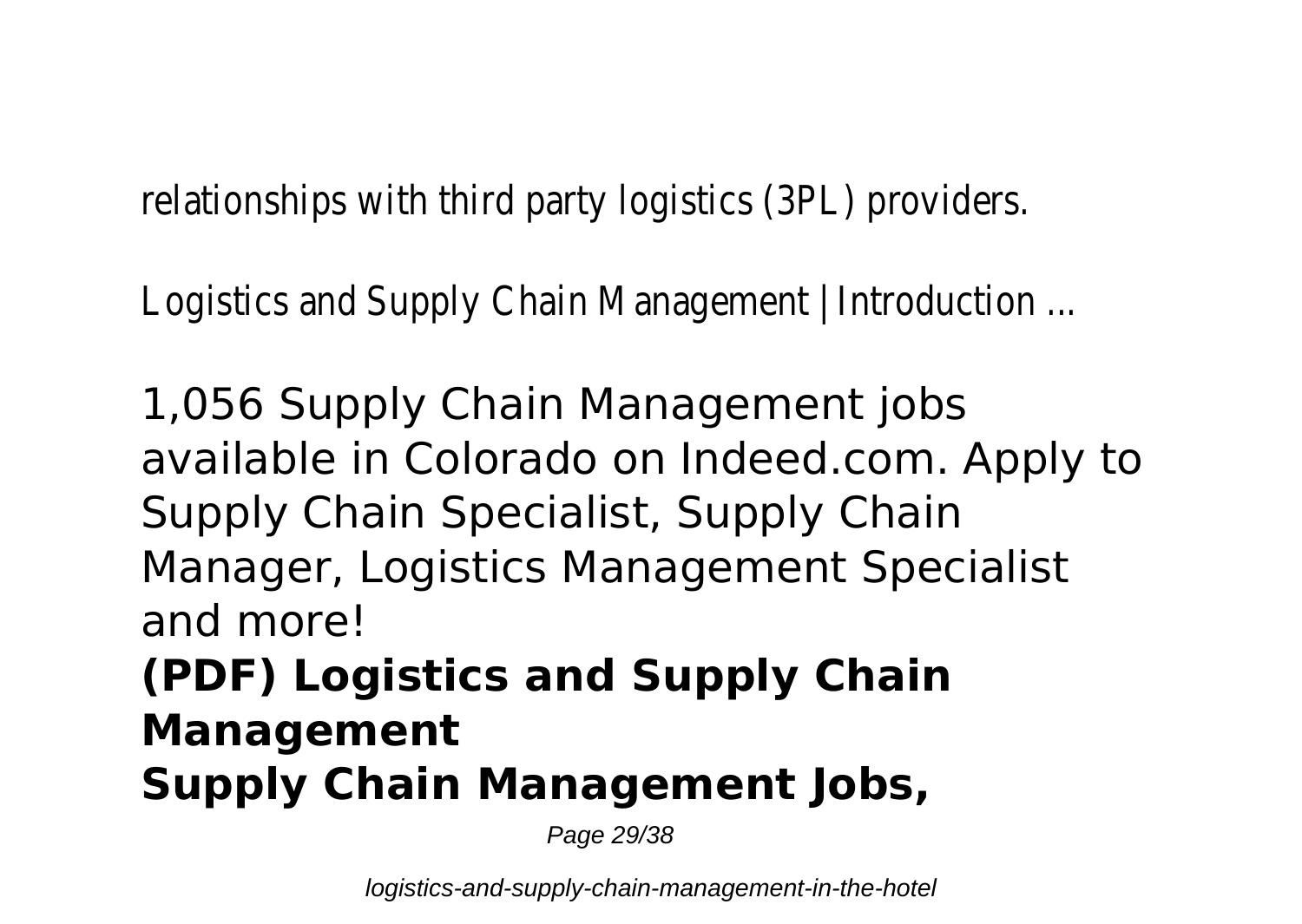relationships with third party logistics (3PL) providers.

Logistics and Supply Chain Management | Introduction ...

1,056 Supply Chain Management jobs available in Colorado on Indeed.com. Apply to Supply Chain Specialist, Supply Chain Manager, Logistics Management Specialist and more!

### **(PDF) Logistics and Supply Chain Management Supply Chain Management Jobs,**

Page 29/38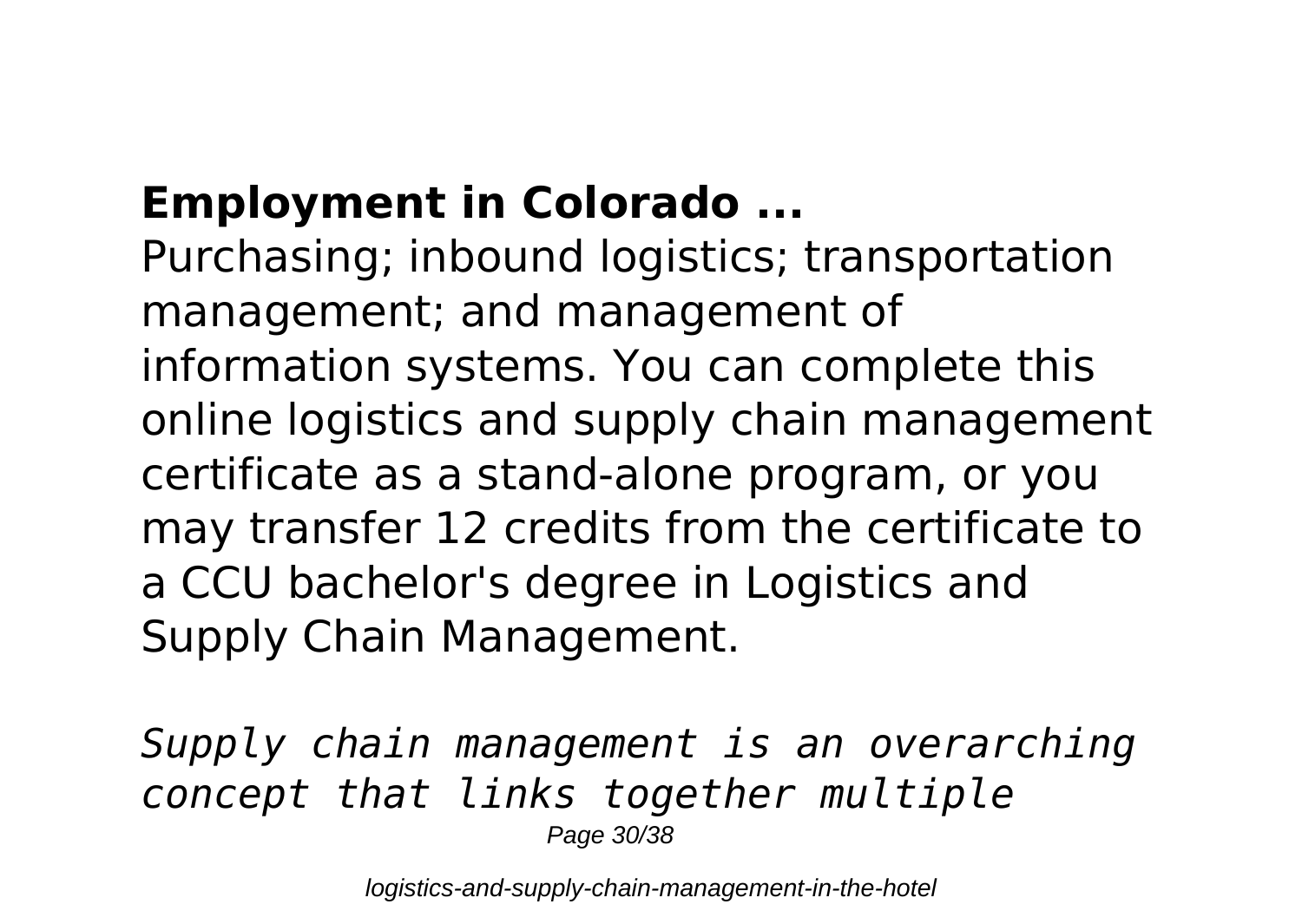## **Employment in Colorado ...**

Purchasing; inbound logistics; transportation management; and management of information systems. You can complete this online logistics and supply chain management certificate as a stand-alone program, or you may transfer 12 credits from the certificate to a CCU bachelor's degree in Logistics and Supply Chain Management.

*Supply chain management is an overarching concept that links together multiple* Page 30/38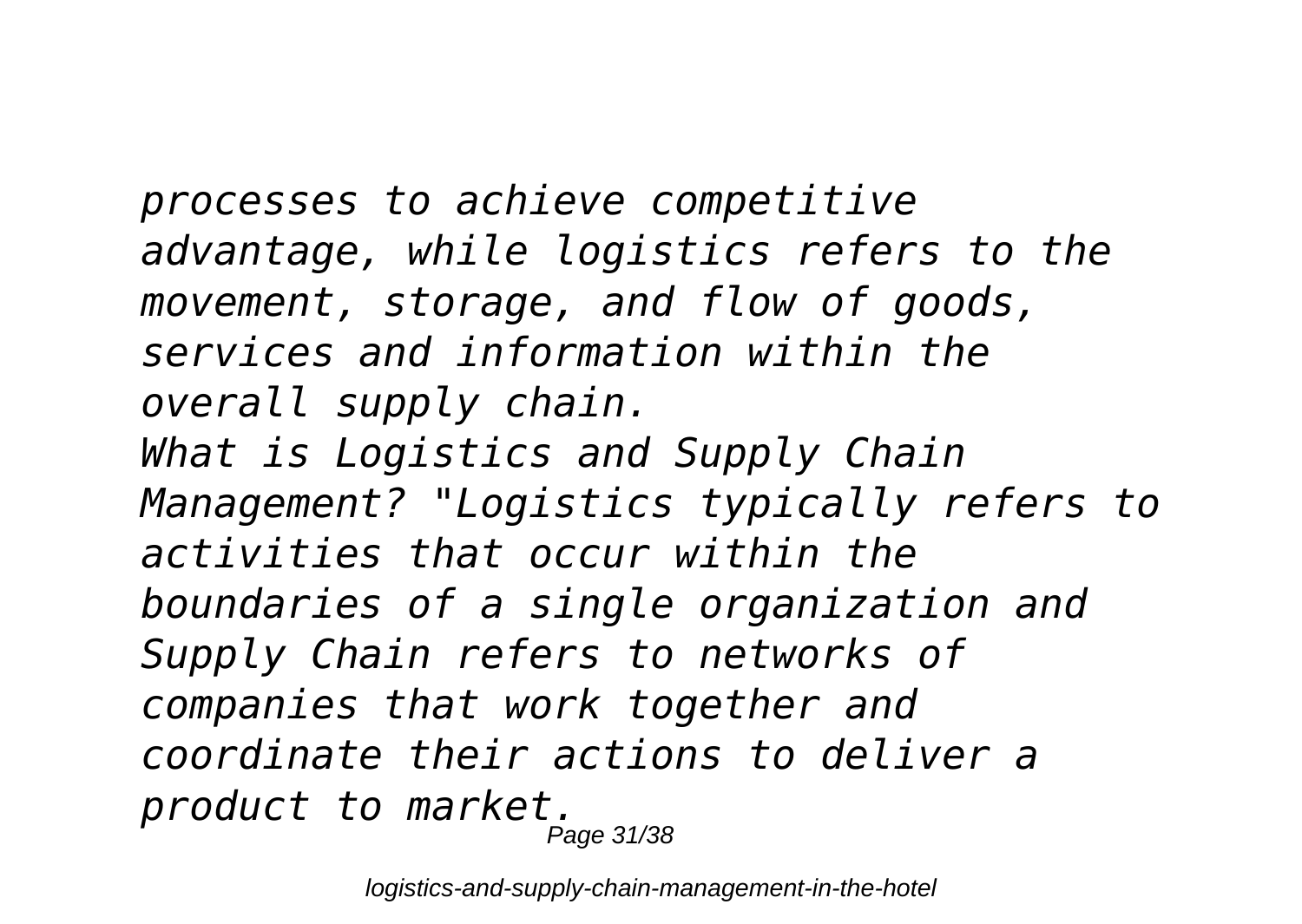*processes to achieve competitive advantage, while logistics refers to the movement, storage, and flow of goods, services and information within the overall supply chain. What is Logistics and Supply Chain Management? "Logistics typically refers to activities that occur within the boundaries of a single organization and Supply Chain refers to networks of companies that work together and coordinate their actions to deliver a product to market.* Page 31/38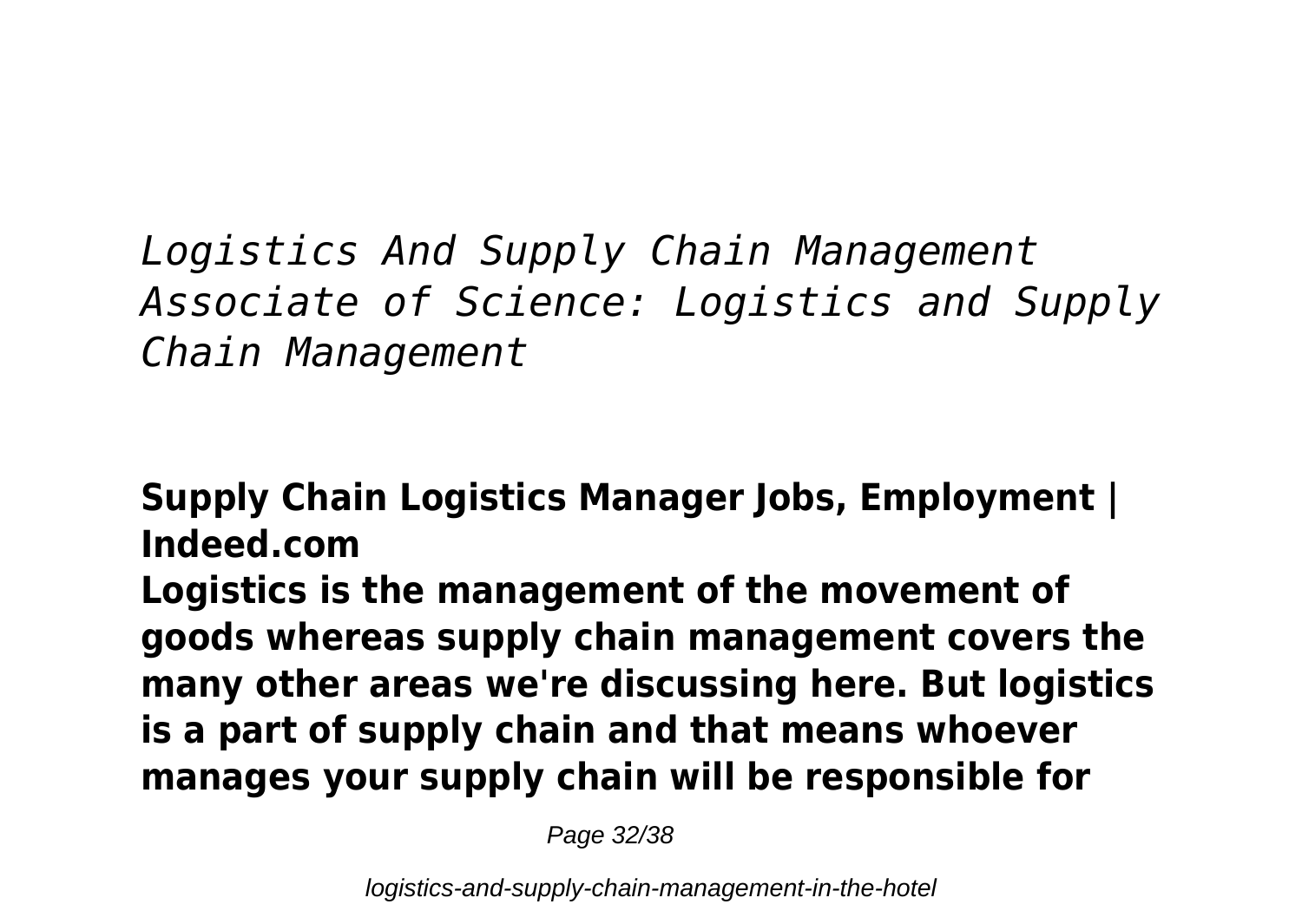*Logistics And Supply Chain Management Associate of Science: Logistics and Supply Chain Management*

**Supply Chain Logistics Manager Jobs, Employment | Indeed.com Logistics is the management of the movement of goods whereas supply chain management covers the many other areas we're discussing here. But logistics is a part of supply chain and that means whoever manages your supply chain will be responsible for**

Page 32/38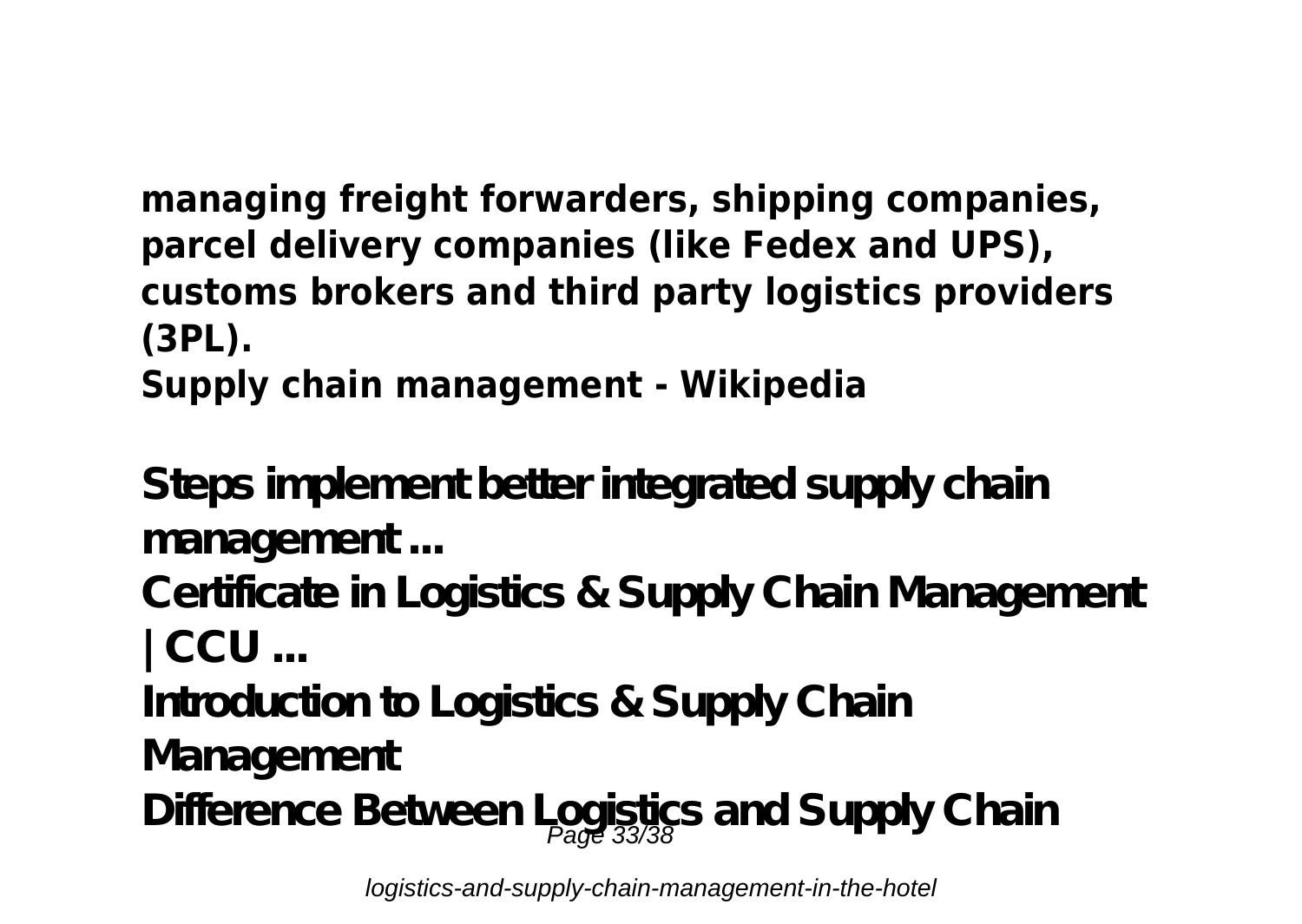#### **managing freight forwarders, shipping companies, parcel delivery companies (like Fedex and UPS), customs brokers and third party logistics providers (3PL). Supply chain management - Wikipedia**

**Steps implement better integrated supply chain management ...**

**Certificate in Logistics & Supply Chain Management | CCU ...**

**Introduction to Logistics & Supply Chain**

**Management**

Difference Between Logistics and Supply Chain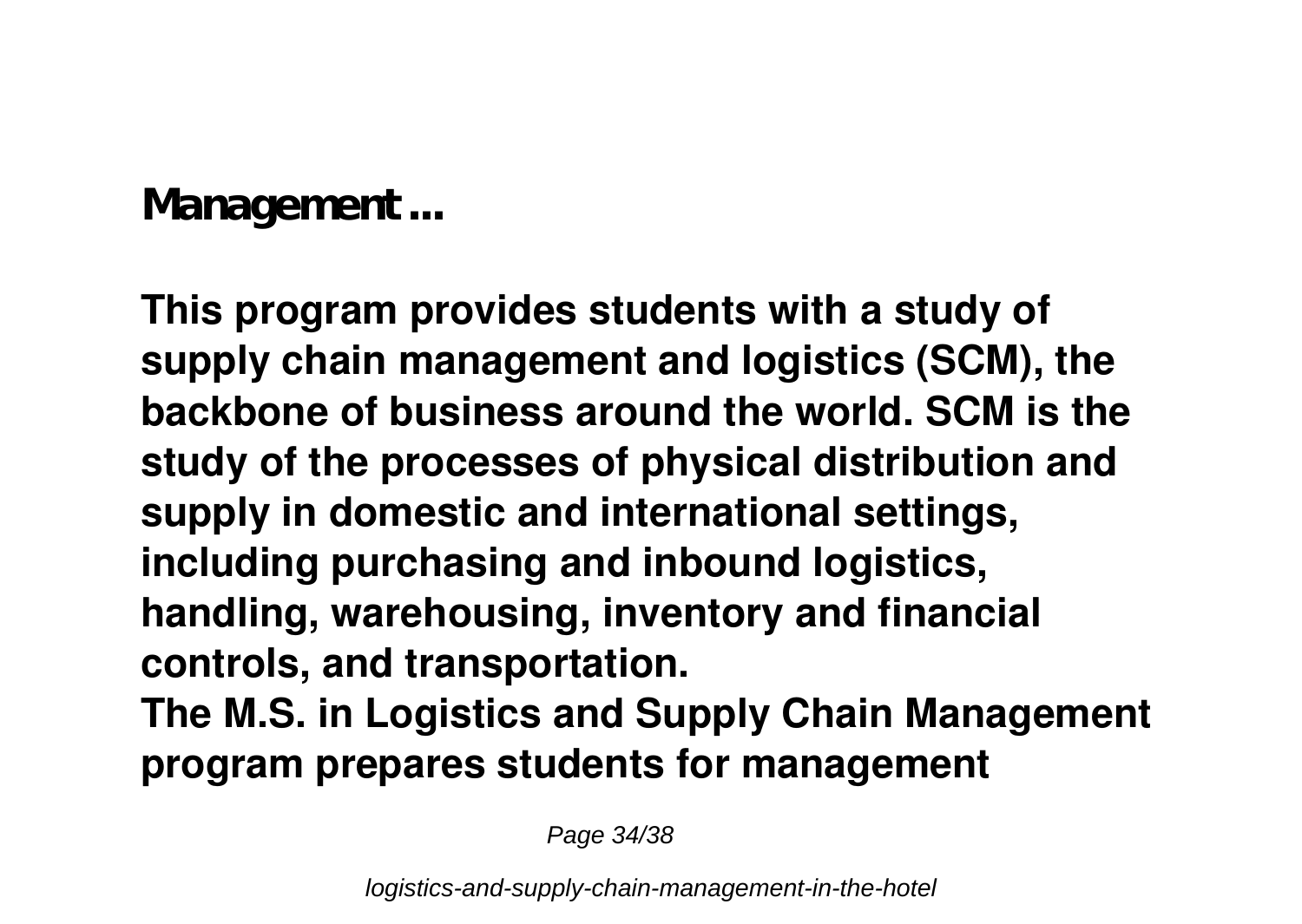**Management ...**

**This program provides students with a study of supply chain management and logistics (SCM), the backbone of business around the world. SCM is the study of the processes of physical distribution and supply in domestic and international settings, including purchasing and inbound logistics, handling, warehousing, inventory and financial controls, and transportation.**

**The M.S. in Logistics and Supply Chain Management program prepares students for management**

Page 34/38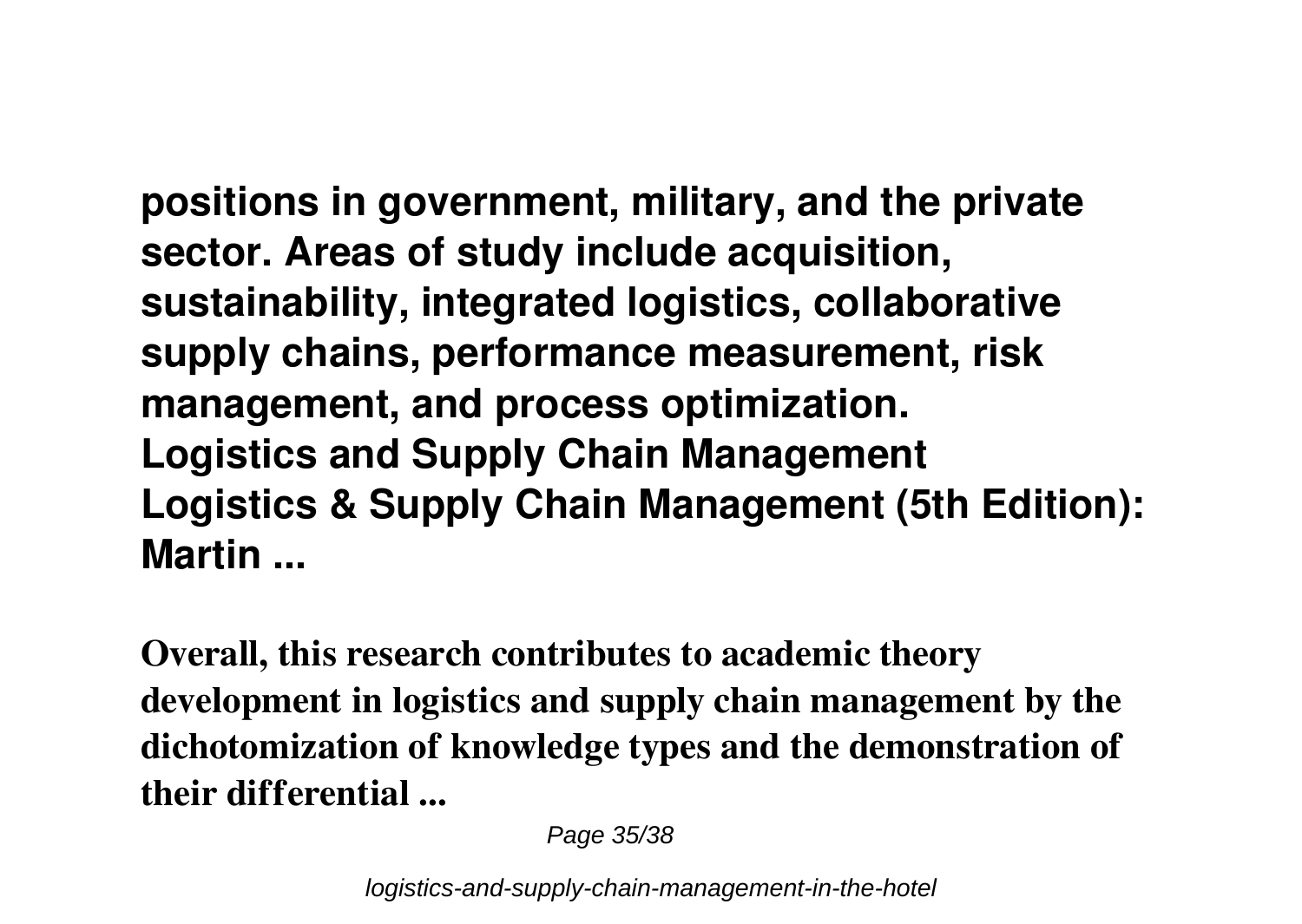**positions in government, military, and the private sector. Areas of study include acquisition, sustainability, integrated logistics, collaborative supply chains, performance measurement, risk management, and process optimization. Logistics and Supply Chain Management Logistics & Supply Chain Management (5th Edition): Martin ...**

**Overall, this research contributes to academic theory development in logistics and supply chain management by the dichotomization of knowledge types and the demonstration of their differential ...**

Page 35/38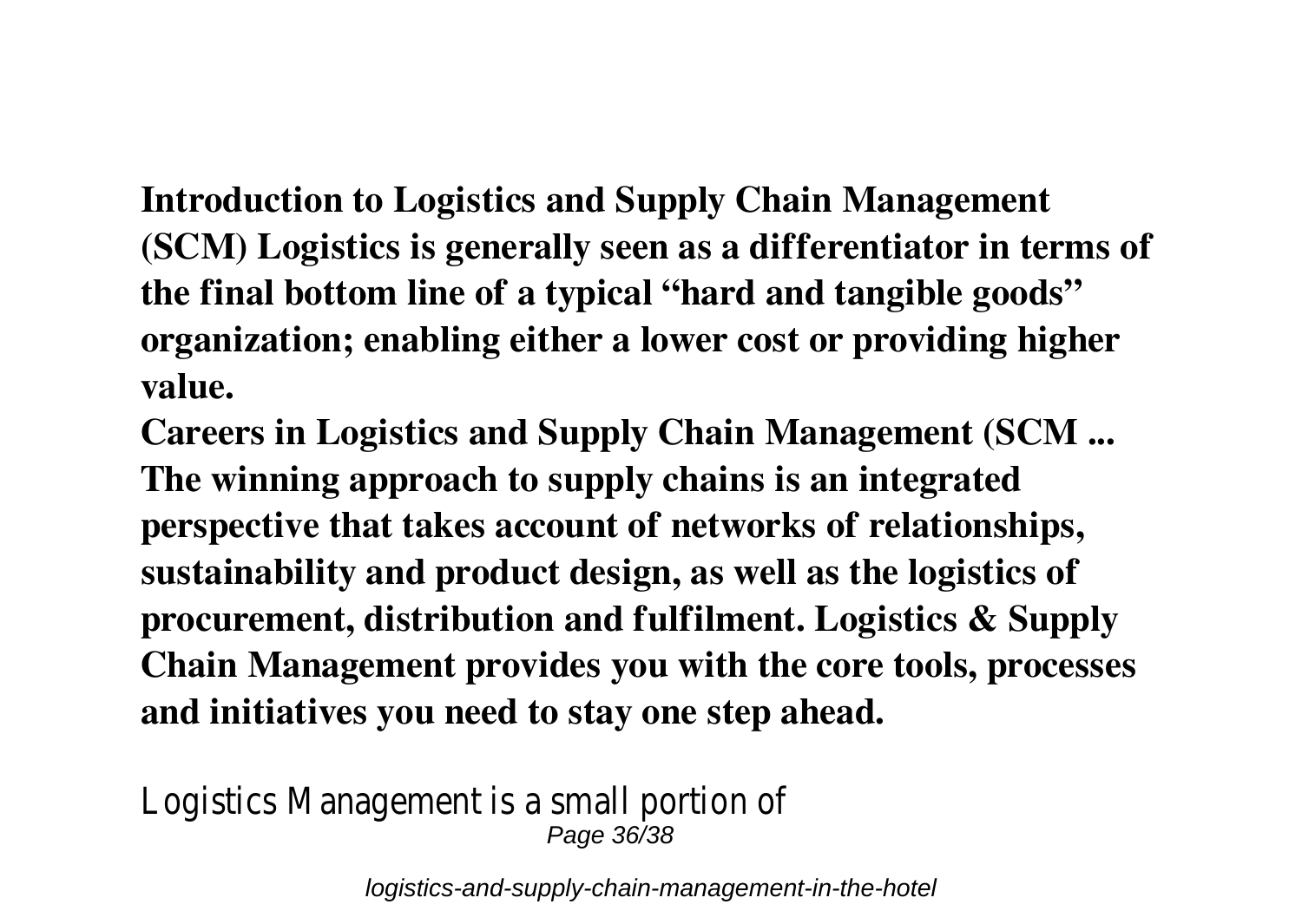**Introduction to Logistics and Supply Chain Management (SCM) Logistics is generally seen as a differentiator in terms of the final bottom line of a typical "hard and tangible goods" organization; enabling either a lower cost or providing higher value.**

**Careers in Logistics and Supply Chain Management (SCM ... The winning approach to supply chains is an integrated perspective that takes account of networks of relationships, sustainability and product design, as well as the logistics of procurement, distribution and fulfilment. Logistics & Supply Chain Management provides you with the core tools, processes and initiatives you need to stay one step ahead.**

Logistics Management is a small portion of Page 36/38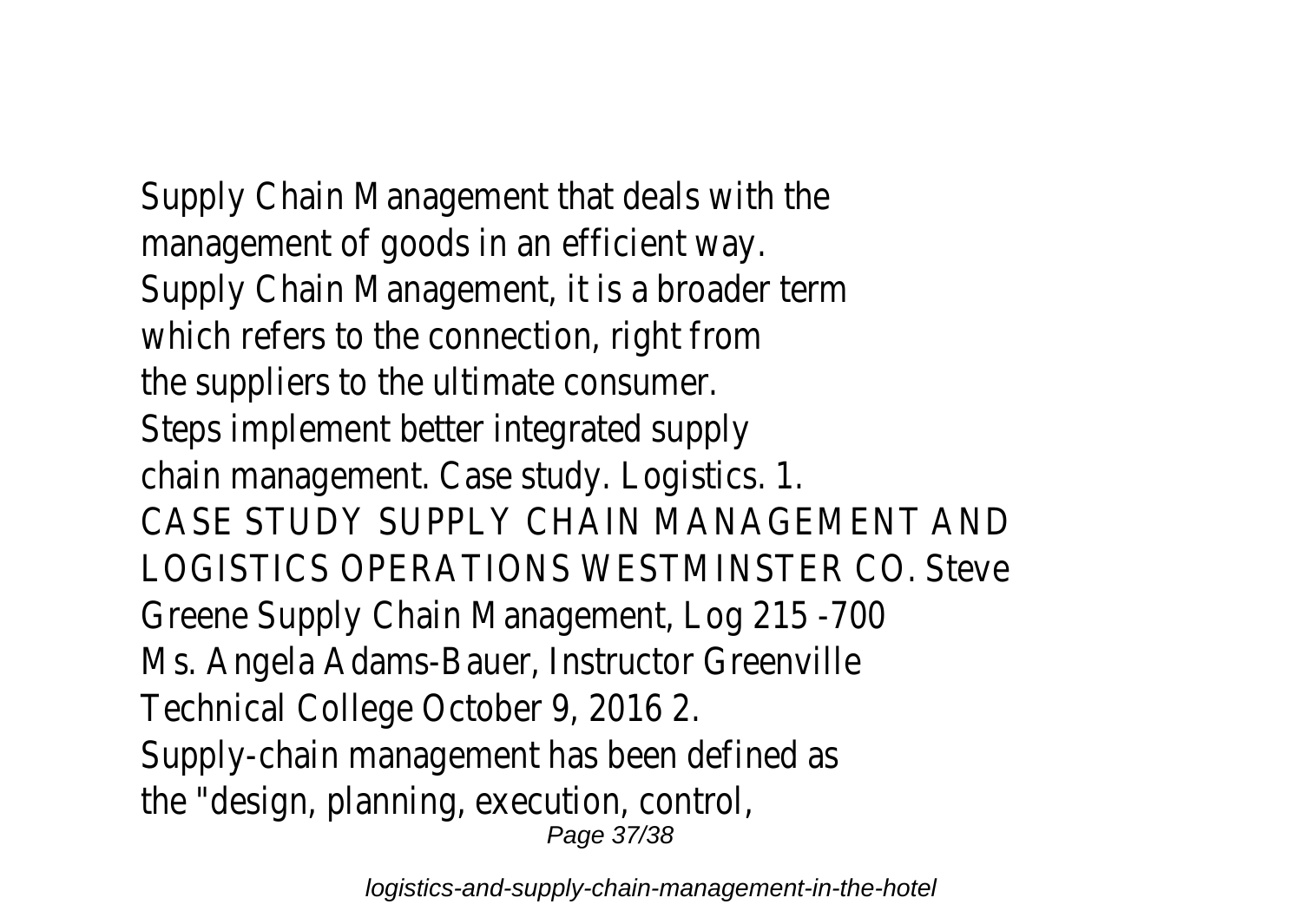Supply Chain Management that deals with the management of goods in an efficient way. Supply Chain Management, it is a broader term which refers to the connection, right from the suppliers to the ultimate consumer. Steps implement better integrated supply chain management. Case study. Logistics. 1. CASE STUDY SUPPLY CHAIN MANAGEMENT AND LOGISTICS OPERATIONS WESTMINSTER CO. Steve Greene Supply Chain Management, Log 215 -700 Ms. Angela Adams-Bauer, Instructor Greenville Technical College October 9, 2016 2. Supply-chain management has been defined as the "design, planning, execution, control, Page 37/38